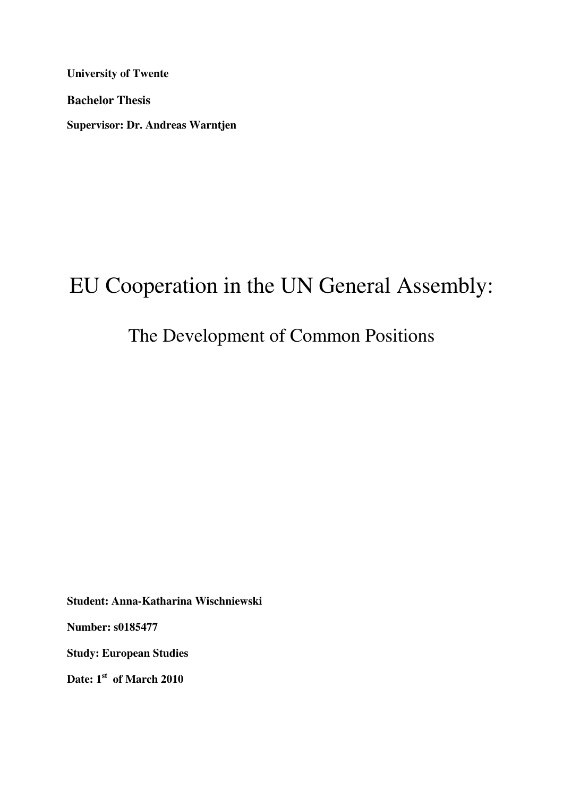**University of Twente** 

**Bachelor Thesis** 

**Supervisor: Dr. Andreas Warntjen** 

# EU Cooperation in the UN General Assembly:

# The Development of Common Positions

**Student: Anna-Katharina Wischniewski** 

**Number: s0185477** 

**Study: European Studies** 

**Date: 1st of March 2010**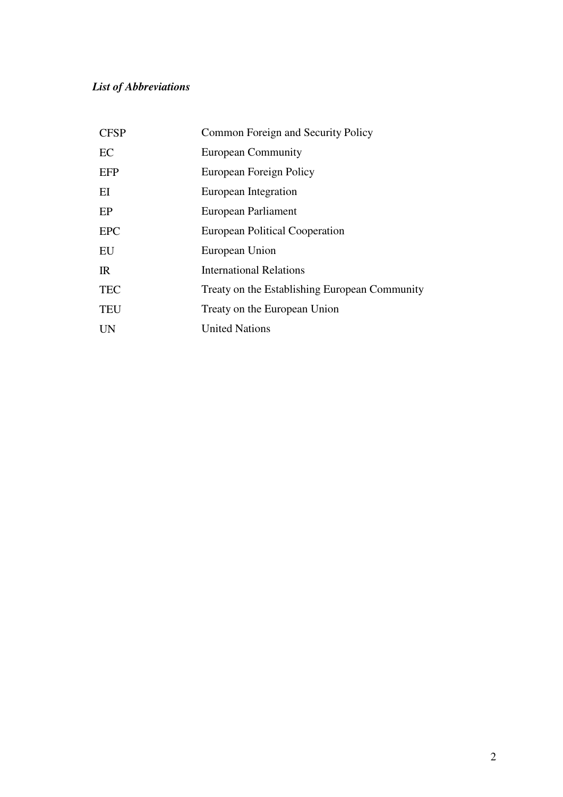# *List of Abbreviations*

| <b>CFSP</b> | Common Foreign and Security Policy            |
|-------------|-----------------------------------------------|
| EC          | <b>European Community</b>                     |
| EFP         | European Foreign Policy                       |
| EI          | European Integration                          |
| EP          | European Parliament                           |
| <b>EPC</b>  | European Political Cooperation                |
| EU          | European Union                                |
| IR          | <b>International Relations</b>                |
| <b>TEC</b>  | Treaty on the Establishing European Community |
| <b>TEU</b>  | Treaty on the European Union                  |
| UN          | <b>United Nations</b>                         |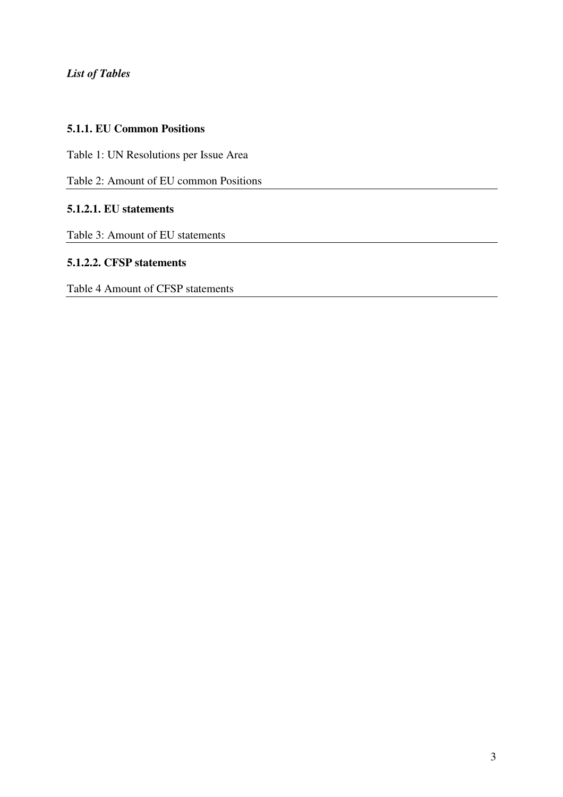*List of Tables* 

# **5.1.1. EU Common Positions**

Table 1: UN Resolutions per Issue Area

Table 2: Amount of EU common Positions

# **5.1.2.1. EU statements**

Table 3: Amount of EU statements

# **5.1.2.2. CFSP statements**

Table 4 Amount of CFSP statements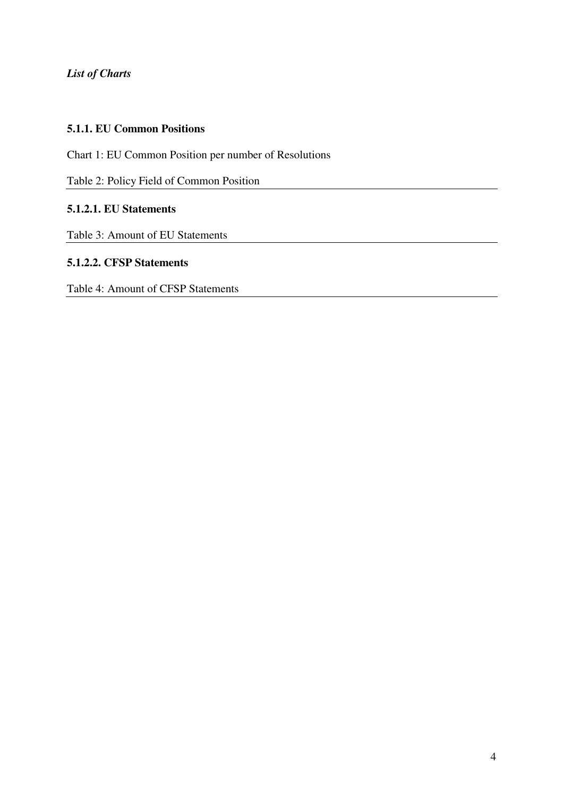*List of Charts* 

# **5.1.1. EU Common Positions**

Chart 1: EU Common Position per number of Resolutions

Table 2: Policy Field of Common Position

# **5.1.2.1. EU Statements**

Table 3: Amount of EU Statements

### **5.1.2.2. CFSP Statements**

Table 4: Amount of CFSP Statements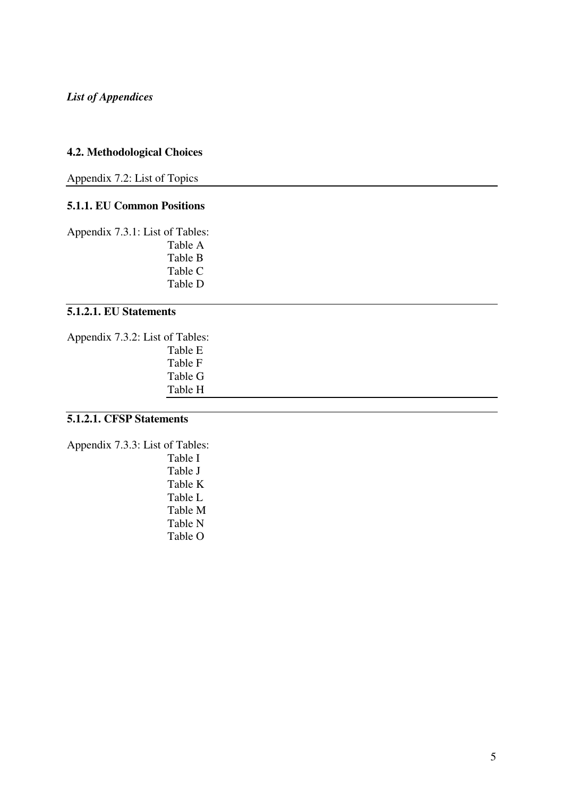# **4.2. Methodological Choices**

Appendix 7.2: List of Topics

# **5.1.1. EU Common Positions**

Appendix 7.3.1: List of Tables: Table A

Table B Table C Table D

# **5.1.2.1. EU Statements**

Appendix 7.3.2: List of Tables: Table E Table F Table G Table H

# **5.1.2.1. CFSP Statements**

Appendix 7.3.3: List of Tables: Table I Table J

Table K Table L Table M Table N Table O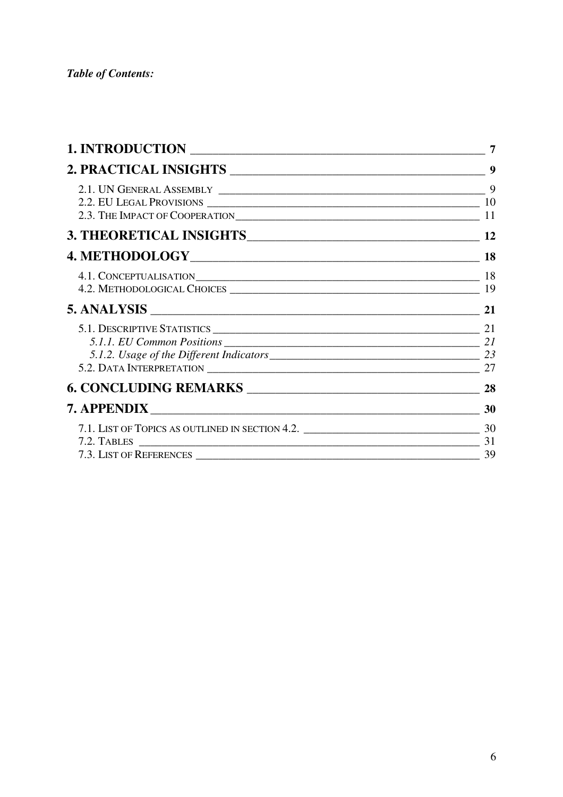| 1. INTRODUCTION |  |
|-----------------|--|
|                 |  |
|                 |  |
|                 |  |
|                 |  |
|                 |  |
|                 |  |
|                 |  |
|                 |  |
|                 |  |
|                 |  |
|                 |  |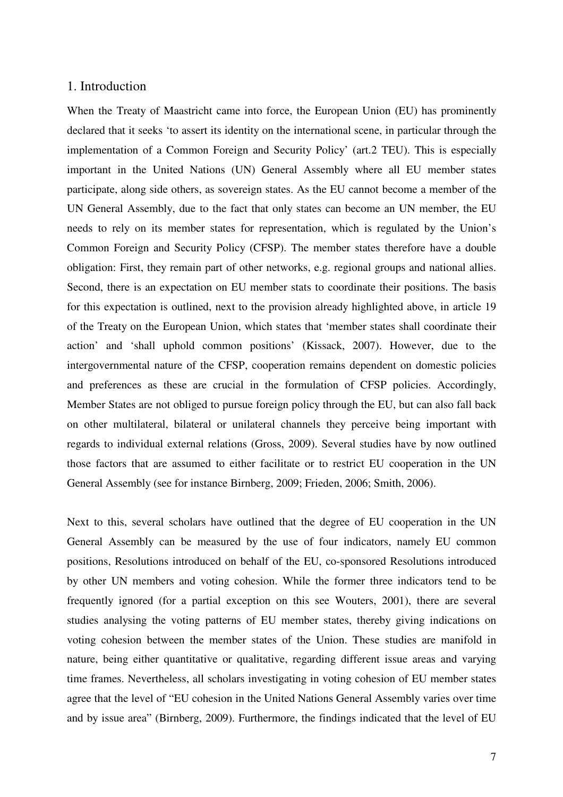#### 1. Introduction

When the Treaty of Maastricht came into force, the European Union (EU) has prominently declared that it seeks 'to assert its identity on the international scene, in particular through the implementation of a Common Foreign and Security Policy' (art.2 TEU). This is especially important in the United Nations (UN) General Assembly where all EU member states participate, along side others, as sovereign states. As the EU cannot become a member of the UN General Assembly, due to the fact that only states can become an UN member, the EU needs to rely on its member states for representation, which is regulated by the Union's Common Foreign and Security Policy (CFSP). The member states therefore have a double obligation: First, they remain part of other networks, e.g. regional groups and national allies. Second, there is an expectation on EU member stats to coordinate their positions. The basis for this expectation is outlined, next to the provision already highlighted above, in article 19 of the Treaty on the European Union, which states that 'member states shall coordinate their action' and 'shall uphold common positions' (Kissack, 2007). However, due to the intergovernmental nature of the CFSP, cooperation remains dependent on domestic policies and preferences as these are crucial in the formulation of CFSP policies. Accordingly, Member States are not obliged to pursue foreign policy through the EU, but can also fall back on other multilateral, bilateral or unilateral channels they perceive being important with regards to individual external relations (Gross, 2009). Several studies have by now outlined those factors that are assumed to either facilitate or to restrict EU cooperation in the UN General Assembly (see for instance Birnberg, 2009; Frieden, 2006; Smith, 2006).

Next to this, several scholars have outlined that the degree of EU cooperation in the UN General Assembly can be measured by the use of four indicators, namely EU common positions, Resolutions introduced on behalf of the EU, co-sponsored Resolutions introduced by other UN members and voting cohesion. While the former three indicators tend to be frequently ignored (for a partial exception on this see Wouters, 2001), there are several studies analysing the voting patterns of EU member states, thereby giving indications on voting cohesion between the member states of the Union. These studies are manifold in nature, being either quantitative or qualitative, regarding different issue areas and varying time frames. Nevertheless, all scholars investigating in voting cohesion of EU member states agree that the level of "EU cohesion in the United Nations General Assembly varies over time and by issue area" (Birnberg, 2009). Furthermore, the findings indicated that the level of EU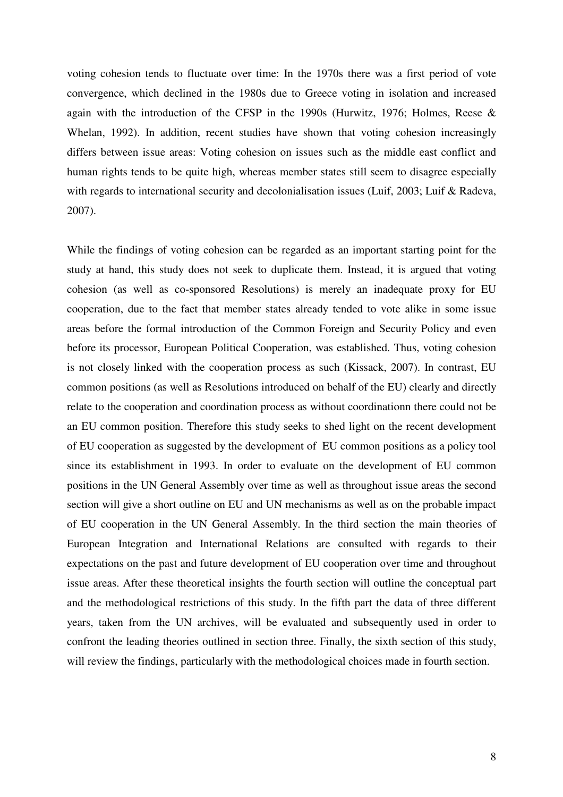voting cohesion tends to fluctuate over time: In the 1970s there was a first period of vote convergence, which declined in the 1980s due to Greece voting in isolation and increased again with the introduction of the CFSP in the 1990s (Hurwitz, 1976; Holmes, Reese & Whelan, 1992). In addition, recent studies have shown that voting cohesion increasingly differs between issue areas: Voting cohesion on issues such as the middle east conflict and human rights tends to be quite high, whereas member states still seem to disagree especially with regards to international security and decolonialisation issues (Luif, 2003; Luif & Radeva, 2007).

While the findings of voting cohesion can be regarded as an important starting point for the study at hand, this study does not seek to duplicate them. Instead, it is argued that voting cohesion (as well as co-sponsored Resolutions) is merely an inadequate proxy for EU cooperation, due to the fact that member states already tended to vote alike in some issue areas before the formal introduction of the Common Foreign and Security Policy and even before its processor, European Political Cooperation, was established. Thus, voting cohesion is not closely linked with the cooperation process as such (Kissack, 2007). In contrast, EU common positions (as well as Resolutions introduced on behalf of the EU) clearly and directly relate to the cooperation and coordination process as without coordinationn there could not be an EU common position. Therefore this study seeks to shed light on the recent development of EU cooperation as suggested by the development of EU common positions as a policy tool since its establishment in 1993. In order to evaluate on the development of EU common positions in the UN General Assembly over time as well as throughout issue areas the second section will give a short outline on EU and UN mechanisms as well as on the probable impact of EU cooperation in the UN General Assembly. In the third section the main theories of European Integration and International Relations are consulted with regards to their expectations on the past and future development of EU cooperation over time and throughout issue areas. After these theoretical insights the fourth section will outline the conceptual part and the methodological restrictions of this study. In the fifth part the data of three different years, taken from the UN archives, will be evaluated and subsequently used in order to confront the leading theories outlined in section three. Finally, the sixth section of this study, will review the findings, particularly with the methodological choices made in fourth section.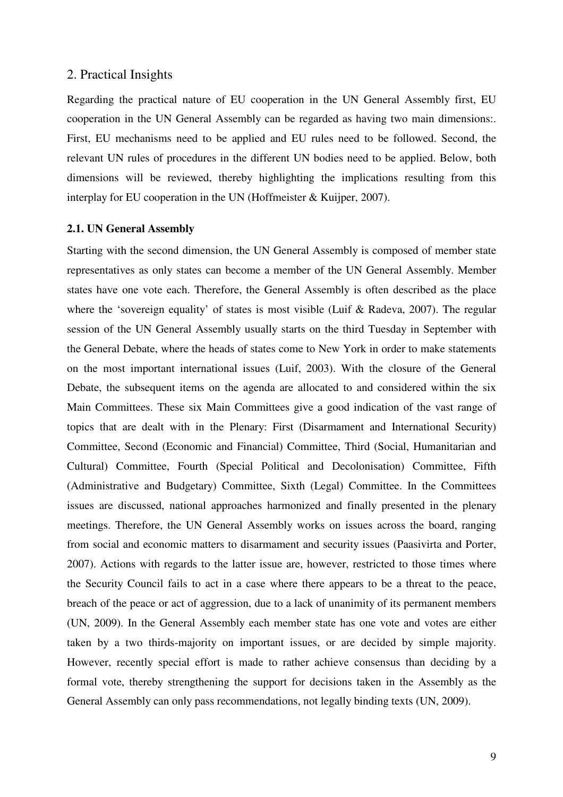### 2. Practical Insights

Regarding the practical nature of EU cooperation in the UN General Assembly first, EU cooperation in the UN General Assembly can be regarded as having two main dimensions:. First, EU mechanisms need to be applied and EU rules need to be followed. Second, the relevant UN rules of procedures in the different UN bodies need to be applied. Below, both dimensions will be reviewed, thereby highlighting the implications resulting from this interplay for EU cooperation in the UN (Hoffmeister & Kuijper, 2007).

#### **2.1. UN General Assembly**

Starting with the second dimension, the UN General Assembly is composed of member state representatives as only states can become a member of the UN General Assembly. Member states have one vote each. Therefore, the General Assembly is often described as the place where the 'sovereign equality' of states is most visible (Luif & Radeva, 2007). The regular session of the UN General Assembly usually starts on the third Tuesday in September with the General Debate, where the heads of states come to New York in order to make statements on the most important international issues (Luif, 2003). With the closure of the General Debate, the subsequent items on the agenda are allocated to and considered within the six Main Committees. These six Main Committees give a good indication of the vast range of topics that are dealt with in the Plenary: First (Disarmament and International Security) Committee, Second (Economic and Financial) Committee, Third (Social, Humanitarian and Cultural) Committee, Fourth (Special Political and Decolonisation) Committee, Fifth (Administrative and Budgetary) Committee, Sixth (Legal) Committee. In the Committees issues are discussed, national approaches harmonized and finally presented in the plenary meetings. Therefore, the UN General Assembly works on issues across the board, ranging from social and economic matters to disarmament and security issues (Paasivirta and Porter, 2007). Actions with regards to the latter issue are, however, restricted to those times where the Security Council fails to act in a case where there appears to be a threat to the peace, breach of the peace or act of aggression, due to a lack of unanimity of its permanent members (UN, 2009). In the General Assembly each member state has one vote and votes are either taken by a two thirds-majority on important issues, or are decided by simple majority. However, recently special effort is made to rather achieve consensus than deciding by a formal vote, thereby strengthening the support for decisions taken in the Assembly as the General Assembly can only pass recommendations, not legally binding texts (UN, 2009).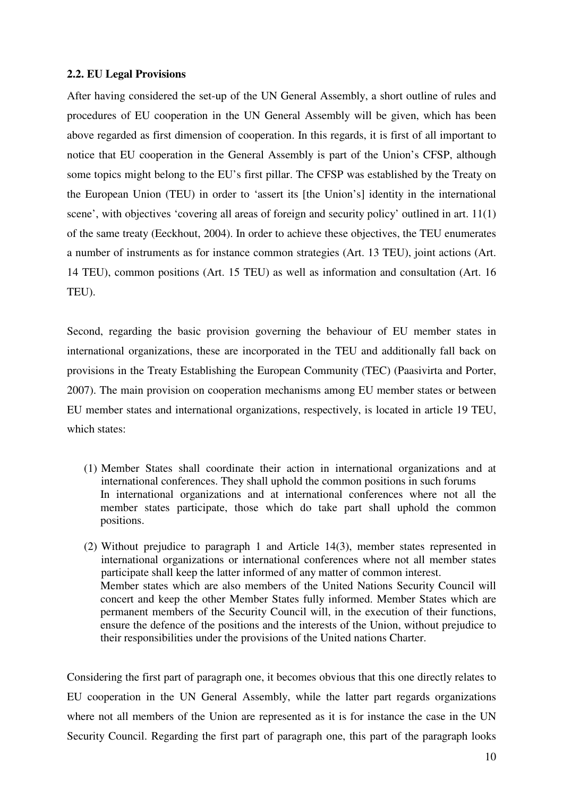#### **2.2. EU Legal Provisions**

After having considered the set-up of the UN General Assembly, a short outline of rules and procedures of EU cooperation in the UN General Assembly will be given, which has been above regarded as first dimension of cooperation. In this regards, it is first of all important to notice that EU cooperation in the General Assembly is part of the Union's CFSP, although some topics might belong to the EU's first pillar. The CFSP was established by the Treaty on the European Union (TEU) in order to 'assert its [the Union's] identity in the international scene', with objectives 'covering all areas of foreign and security policy' outlined in art. 11(1) of the same treaty (Eeckhout, 2004). In order to achieve these objectives, the TEU enumerates a number of instruments as for instance common strategies (Art. 13 TEU), joint actions (Art. 14 TEU), common positions (Art. 15 TEU) as well as information and consultation (Art. 16 TEU).

Second, regarding the basic provision governing the behaviour of EU member states in international organizations, these are incorporated in the TEU and additionally fall back on provisions in the Treaty Establishing the European Community (TEC) (Paasivirta and Porter, 2007). The main provision on cooperation mechanisms among EU member states or between EU member states and international organizations, respectively, is located in article 19 TEU, which states:

- (1) Member States shall coordinate their action in international organizations and at international conferences. They shall uphold the common positions in such forums In international organizations and at international conferences where not all the member states participate, those which do take part shall uphold the common positions.
- (2) Without prejudice to paragraph 1 and Article 14(3), member states represented in international organizations or international conferences where not all member states participate shall keep the latter informed of any matter of common interest. Member states which are also members of the United Nations Security Council will concert and keep the other Member States fully informed. Member States which are permanent members of the Security Council will, in the execution of their functions, ensure the defence of the positions and the interests of the Union, without prejudice to their responsibilities under the provisions of the United nations Charter.

Considering the first part of paragraph one, it becomes obvious that this one directly relates to EU cooperation in the UN General Assembly, while the latter part regards organizations where not all members of the Union are represented as it is for instance the case in the UN Security Council. Regarding the first part of paragraph one, this part of the paragraph looks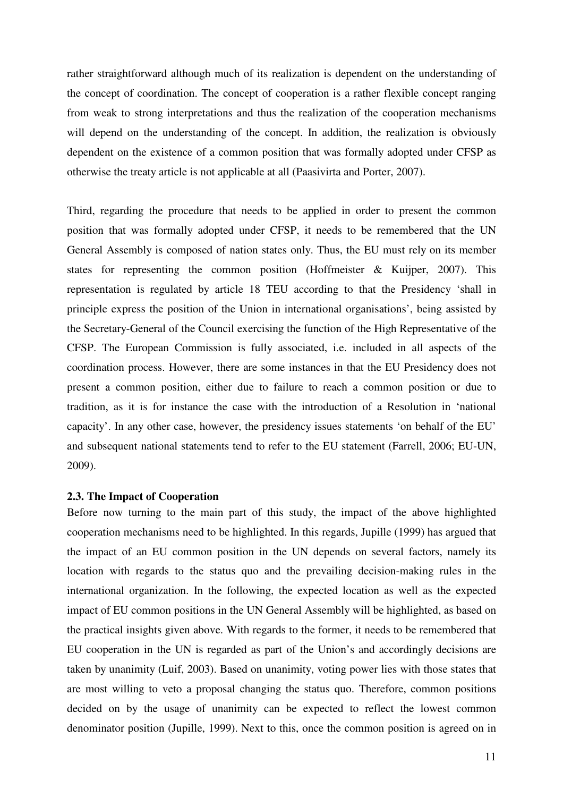rather straightforward although much of its realization is dependent on the understanding of the concept of coordination. The concept of cooperation is a rather flexible concept ranging from weak to strong interpretations and thus the realization of the cooperation mechanisms will depend on the understanding of the concept. In addition, the realization is obviously dependent on the existence of a common position that was formally adopted under CFSP as otherwise the treaty article is not applicable at all (Paasivirta and Porter, 2007).

Third, regarding the procedure that needs to be applied in order to present the common position that was formally adopted under CFSP, it needs to be remembered that the UN General Assembly is composed of nation states only. Thus, the EU must rely on its member states for representing the common position (Hoffmeister & Kuijper, 2007). This representation is regulated by article 18 TEU according to that the Presidency 'shall in principle express the position of the Union in international organisations', being assisted by the Secretary-General of the Council exercising the function of the High Representative of the CFSP. The European Commission is fully associated, i.e. included in all aspects of the coordination process. However, there are some instances in that the EU Presidency does not present a common position, either due to failure to reach a common position or due to tradition, as it is for instance the case with the introduction of a Resolution in 'national capacity'. In any other case, however, the presidency issues statements 'on behalf of the EU' and subsequent national statements tend to refer to the EU statement (Farrell, 2006; EU-UN, 2009).

#### **2.3. The Impact of Cooperation**

Before now turning to the main part of this study, the impact of the above highlighted cooperation mechanisms need to be highlighted. In this regards, Jupille (1999) has argued that the impact of an EU common position in the UN depends on several factors, namely its location with regards to the status quo and the prevailing decision-making rules in the international organization. In the following, the expected location as well as the expected impact of EU common positions in the UN General Assembly will be highlighted, as based on the practical insights given above. With regards to the former, it needs to be remembered that EU cooperation in the UN is regarded as part of the Union's and accordingly decisions are taken by unanimity (Luif, 2003). Based on unanimity, voting power lies with those states that are most willing to veto a proposal changing the status quo. Therefore, common positions decided on by the usage of unanimity can be expected to reflect the lowest common denominator position (Jupille, 1999). Next to this, once the common position is agreed on in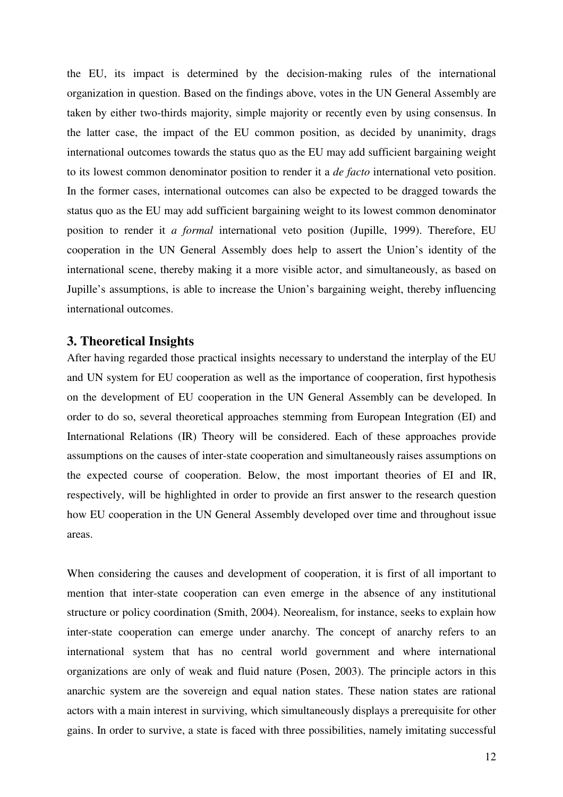the EU, its impact is determined by the decision-making rules of the international organization in question. Based on the findings above, votes in the UN General Assembly are taken by either two-thirds majority, simple majority or recently even by using consensus. In the latter case, the impact of the EU common position, as decided by unanimity, drags international outcomes towards the status quo as the EU may add sufficient bargaining weight to its lowest common denominator position to render it a *de facto* international veto position. In the former cases, international outcomes can also be expected to be dragged towards the status quo as the EU may add sufficient bargaining weight to its lowest common denominator position to render it *a formal* international veto position (Jupille, 1999). Therefore, EU cooperation in the UN General Assembly does help to assert the Union's identity of the international scene, thereby making it a more visible actor, and simultaneously, as based on Jupille's assumptions, is able to increase the Union's bargaining weight, thereby influencing international outcomes.

### **3. Theoretical Insights**

After having regarded those practical insights necessary to understand the interplay of the EU and UN system for EU cooperation as well as the importance of cooperation, first hypothesis on the development of EU cooperation in the UN General Assembly can be developed. In order to do so, several theoretical approaches stemming from European Integration (EI) and International Relations (IR) Theory will be considered. Each of these approaches provide assumptions on the causes of inter-state cooperation and simultaneously raises assumptions on the expected course of cooperation. Below, the most important theories of EI and IR, respectively, will be highlighted in order to provide an first answer to the research question how EU cooperation in the UN General Assembly developed over time and throughout issue areas.

When considering the causes and development of cooperation, it is first of all important to mention that inter-state cooperation can even emerge in the absence of any institutional structure or policy coordination (Smith, 2004). Neorealism, for instance, seeks to explain how inter-state cooperation can emerge under anarchy. The concept of anarchy refers to an international system that has no central world government and where international organizations are only of weak and fluid nature (Posen, 2003). The principle actors in this anarchic system are the sovereign and equal nation states. These nation states are rational actors with a main interest in surviving, which simultaneously displays a prerequisite for other gains. In order to survive, a state is faced with three possibilities, namely imitating successful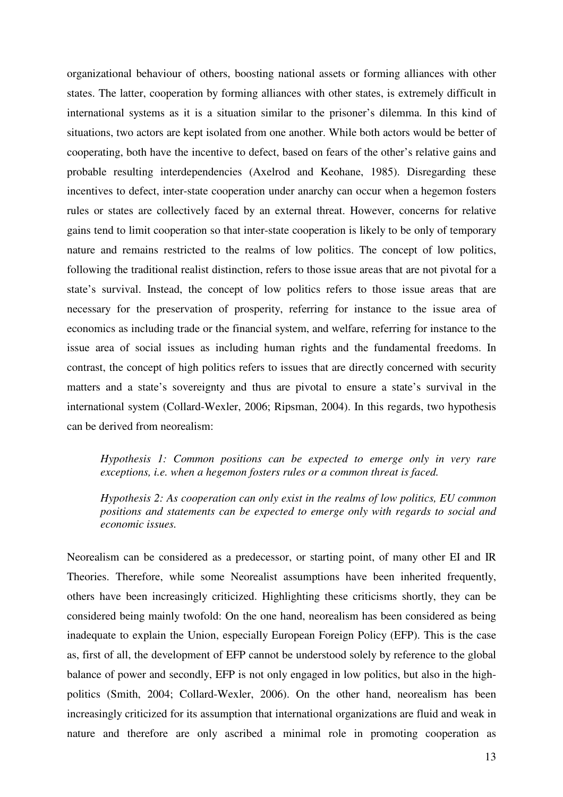organizational behaviour of others, boosting national assets or forming alliances with other states. The latter, cooperation by forming alliances with other states, is extremely difficult in international systems as it is a situation similar to the prisoner's dilemma. In this kind of situations, two actors are kept isolated from one another. While both actors would be better of cooperating, both have the incentive to defect, based on fears of the other's relative gains and probable resulting interdependencies (Axelrod and Keohane, 1985). Disregarding these incentives to defect, inter-state cooperation under anarchy can occur when a hegemon fosters rules or states are collectively faced by an external threat. However, concerns for relative gains tend to limit cooperation so that inter-state cooperation is likely to be only of temporary nature and remains restricted to the realms of low politics. The concept of low politics, following the traditional realist distinction, refers to those issue areas that are not pivotal for a state's survival. Instead, the concept of low politics refers to those issue areas that are necessary for the preservation of prosperity, referring for instance to the issue area of economics as including trade or the financial system, and welfare, referring for instance to the issue area of social issues as including human rights and the fundamental freedoms. In contrast, the concept of high politics refers to issues that are directly concerned with security matters and a state's sovereignty and thus are pivotal to ensure a state's survival in the international system (Collard-Wexler, 2006; Ripsman, 2004). In this regards, two hypothesis can be derived from neorealism:

*Hypothesis 1: Common positions can be expected to emerge only in very rare exceptions, i.e. when a hegemon fosters rules or a common threat is faced.* 

*Hypothesis 2: As cooperation can only exist in the realms of low politics, EU common positions and statements can be expected to emerge only with regards to social and economic issues.*

Neorealism can be considered as a predecessor, or starting point, of many other EI and IR Theories. Therefore, while some Neorealist assumptions have been inherited frequently, others have been increasingly criticized. Highlighting these criticisms shortly, they can be considered being mainly twofold: On the one hand, neorealism has been considered as being inadequate to explain the Union, especially European Foreign Policy (EFP). This is the case as, first of all, the development of EFP cannot be understood solely by reference to the global balance of power and secondly, EFP is not only engaged in low politics, but also in the highpolitics (Smith, 2004; Collard-Wexler, 2006). On the other hand, neorealism has been increasingly criticized for its assumption that international organizations are fluid and weak in nature and therefore are only ascribed a minimal role in promoting cooperation as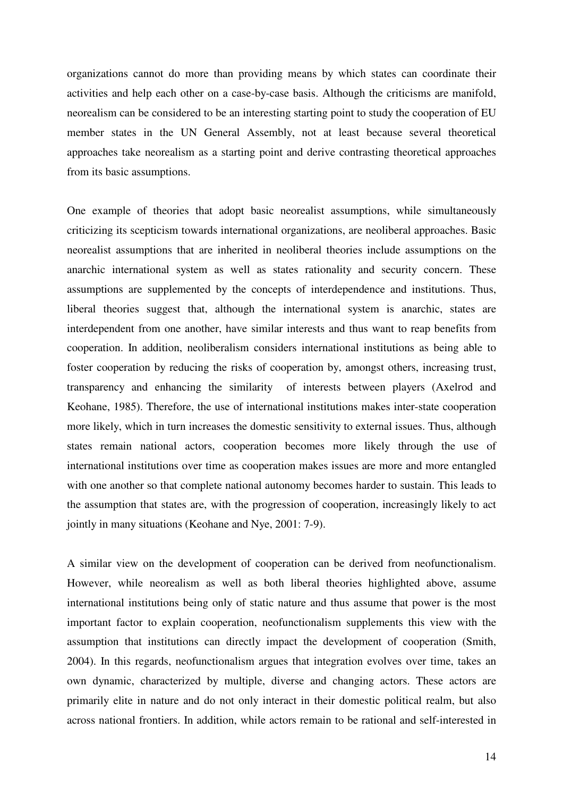organizations cannot do more than providing means by which states can coordinate their activities and help each other on a case-by-case basis. Although the criticisms are manifold, neorealism can be considered to be an interesting starting point to study the cooperation of EU member states in the UN General Assembly, not at least because several theoretical approaches take neorealism as a starting point and derive contrasting theoretical approaches from its basic assumptions.

One example of theories that adopt basic neorealist assumptions, while simultaneously criticizing its scepticism towards international organizations, are neoliberal approaches. Basic neorealist assumptions that are inherited in neoliberal theories include assumptions on the anarchic international system as well as states rationality and security concern. These assumptions are supplemented by the concepts of interdependence and institutions. Thus, liberal theories suggest that, although the international system is anarchic, states are interdependent from one another, have similar interests and thus want to reap benefits from cooperation. In addition, neoliberalism considers international institutions as being able to foster cooperation by reducing the risks of cooperation by, amongst others, increasing trust, transparency and enhancing the similarity of interests between players (Axelrod and Keohane, 1985). Therefore, the use of international institutions makes inter-state cooperation more likely, which in turn increases the domestic sensitivity to external issues. Thus, although states remain national actors, cooperation becomes more likely through the use of international institutions over time as cooperation makes issues are more and more entangled with one another so that complete national autonomy becomes harder to sustain. This leads to the assumption that states are, with the progression of cooperation, increasingly likely to act jointly in many situations (Keohane and Nye, 2001: 7-9).

A similar view on the development of cooperation can be derived from neofunctionalism. However, while neorealism as well as both liberal theories highlighted above, assume international institutions being only of static nature and thus assume that power is the most important factor to explain cooperation, neofunctionalism supplements this view with the assumption that institutions can directly impact the development of cooperation (Smith, 2004). In this regards, neofunctionalism argues that integration evolves over time, takes an own dynamic, characterized by multiple, diverse and changing actors. These actors are primarily elite in nature and do not only interact in their domestic political realm, but also across national frontiers. In addition, while actors remain to be rational and self-interested in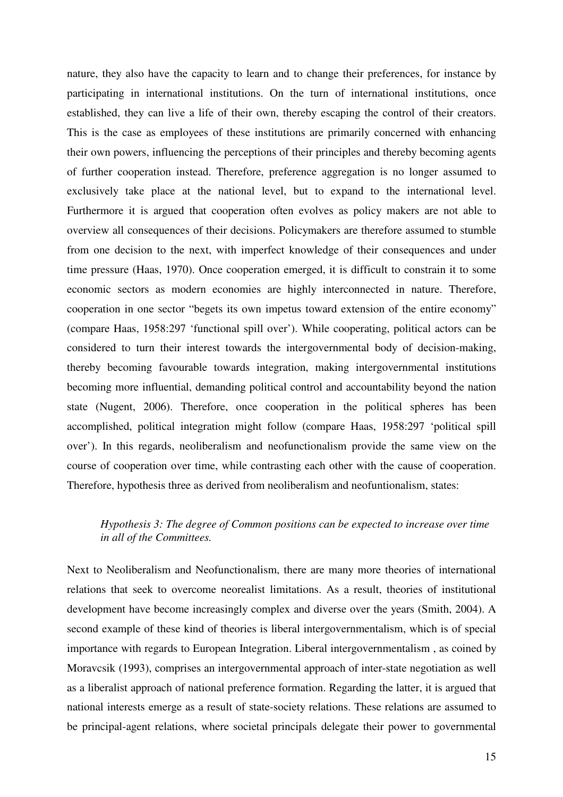nature, they also have the capacity to learn and to change their preferences, for instance by participating in international institutions. On the turn of international institutions, once established, they can live a life of their own, thereby escaping the control of their creators. This is the case as employees of these institutions are primarily concerned with enhancing their own powers, influencing the perceptions of their principles and thereby becoming agents of further cooperation instead. Therefore, preference aggregation is no longer assumed to exclusively take place at the national level, but to expand to the international level. Furthermore it is argued that cooperation often evolves as policy makers are not able to overview all consequences of their decisions. Policymakers are therefore assumed to stumble from one decision to the next, with imperfect knowledge of their consequences and under time pressure (Haas, 1970). Once cooperation emerged, it is difficult to constrain it to some economic sectors as modern economies are highly interconnected in nature. Therefore, cooperation in one sector "begets its own impetus toward extension of the entire economy" (compare Haas, 1958:297 'functional spill over'). While cooperating, political actors can be considered to turn their interest towards the intergovernmental body of decision-making, thereby becoming favourable towards integration, making intergovernmental institutions becoming more influential, demanding political control and accountability beyond the nation state (Nugent, 2006). Therefore, once cooperation in the political spheres has been accomplished, political integration might follow (compare Haas, 1958:297 'political spill over'). In this regards, neoliberalism and neofunctionalism provide the same view on the course of cooperation over time, while contrasting each other with the cause of cooperation. Therefore, hypothesis three as derived from neoliberalism and neofuntionalism, states:

# *Hypothesis 3: The degree of Common positions can be expected to increase over time in all of the Committees.*

Next to Neoliberalism and Neofunctionalism, there are many more theories of international relations that seek to overcome neorealist limitations. As a result, theories of institutional development have become increasingly complex and diverse over the years (Smith, 2004). A second example of these kind of theories is liberal intergovernmentalism, which is of special importance with regards to European Integration. Liberal intergovernmentalism , as coined by Moravcsik (1993), comprises an intergovernmental approach of inter-state negotiation as well as a liberalist approach of national preference formation. Regarding the latter, it is argued that national interests emerge as a result of state-society relations. These relations are assumed to be principal-agent relations, where societal principals delegate their power to governmental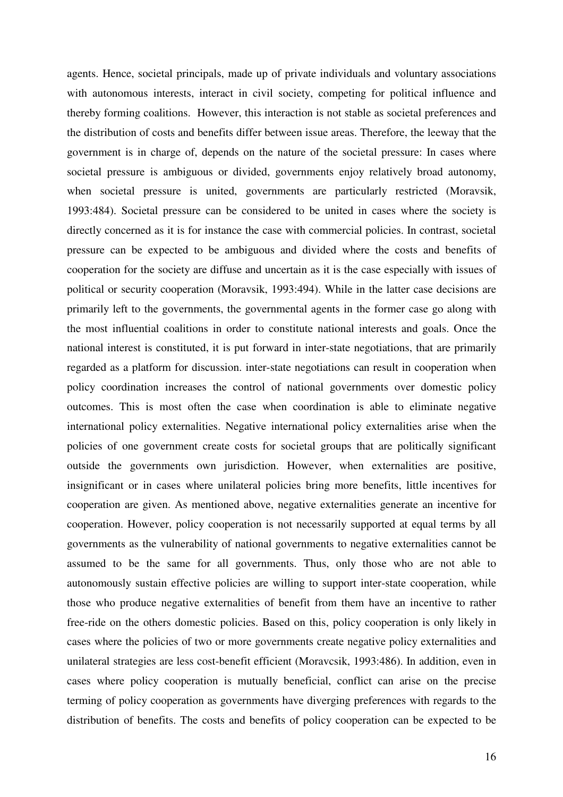agents. Hence, societal principals, made up of private individuals and voluntary associations with autonomous interests, interact in civil society, competing for political influence and thereby forming coalitions. However, this interaction is not stable as societal preferences and the distribution of costs and benefits differ between issue areas. Therefore, the leeway that the government is in charge of, depends on the nature of the societal pressure: In cases where societal pressure is ambiguous or divided, governments enjoy relatively broad autonomy, when societal pressure is united, governments are particularly restricted (Moravsik, 1993:484). Societal pressure can be considered to be united in cases where the society is directly concerned as it is for instance the case with commercial policies. In contrast, societal pressure can be expected to be ambiguous and divided where the costs and benefits of cooperation for the society are diffuse and uncertain as it is the case especially with issues of political or security cooperation (Moravsik, 1993:494). While in the latter case decisions are primarily left to the governments, the governmental agents in the former case go along with the most influential coalitions in order to constitute national interests and goals. Once the national interest is constituted, it is put forward in inter-state negotiations, that are primarily regarded as a platform for discussion. inter-state negotiations can result in cooperation when policy coordination increases the control of national governments over domestic policy outcomes. This is most often the case when coordination is able to eliminate negative international policy externalities. Negative international policy externalities arise when the policies of one government create costs for societal groups that are politically significant outside the governments own jurisdiction. However, when externalities are positive, insignificant or in cases where unilateral policies bring more benefits, little incentives for cooperation are given. As mentioned above, negative externalities generate an incentive for cooperation. However, policy cooperation is not necessarily supported at equal terms by all governments as the vulnerability of national governments to negative externalities cannot be assumed to be the same for all governments. Thus, only those who are not able to autonomously sustain effective policies are willing to support inter-state cooperation, while those who produce negative externalities of benefit from them have an incentive to rather free-ride on the others domestic policies. Based on this, policy cooperation is only likely in cases where the policies of two or more governments create negative policy externalities and unilateral strategies are less cost-benefit efficient (Moravcsik, 1993:486). In addition, even in cases where policy cooperation is mutually beneficial, conflict can arise on the precise terming of policy cooperation as governments have diverging preferences with regards to the distribution of benefits. The costs and benefits of policy cooperation can be expected to be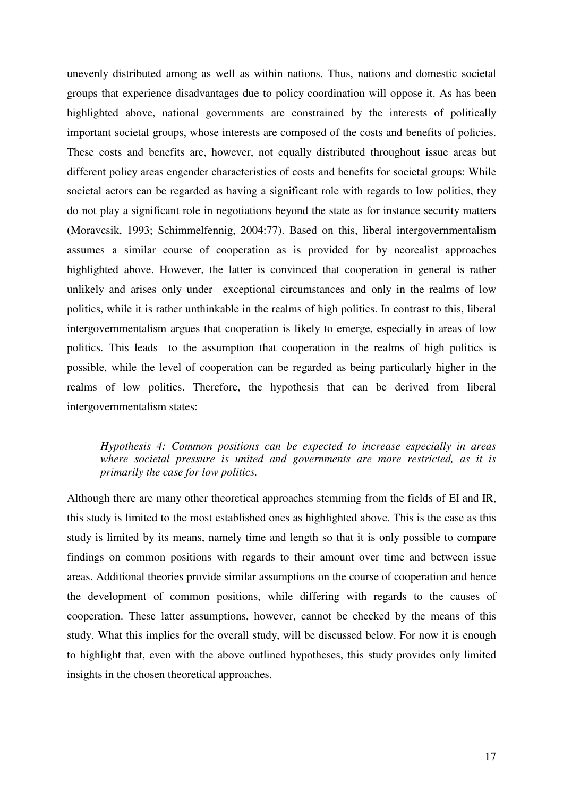unevenly distributed among as well as within nations. Thus, nations and domestic societal groups that experience disadvantages due to policy coordination will oppose it. As has been highlighted above, national governments are constrained by the interests of politically important societal groups, whose interests are composed of the costs and benefits of policies. These costs and benefits are, however, not equally distributed throughout issue areas but different policy areas engender characteristics of costs and benefits for societal groups: While societal actors can be regarded as having a significant role with regards to low politics, they do not play a significant role in negotiations beyond the state as for instance security matters (Moravcsik, 1993; Schimmelfennig, 2004:77). Based on this, liberal intergovernmentalism assumes a similar course of cooperation as is provided for by neorealist approaches highlighted above. However, the latter is convinced that cooperation in general is rather unlikely and arises only under exceptional circumstances and only in the realms of low politics, while it is rather unthinkable in the realms of high politics. In contrast to this, liberal intergovernmentalism argues that cooperation is likely to emerge, especially in areas of low politics. This leads to the assumption that cooperation in the realms of high politics is possible, while the level of cooperation can be regarded as being particularly higher in the realms of low politics. Therefore, the hypothesis that can be derived from liberal intergovernmentalism states:

#### *Hypothesis 4: Common positions can be expected to increase especially in areas where societal pressure is united and governments are more restricted, as it is primarily the case for low politics.*

Although there are many other theoretical approaches stemming from the fields of EI and IR, this study is limited to the most established ones as highlighted above. This is the case as this study is limited by its means, namely time and length so that it is only possible to compare findings on common positions with regards to their amount over time and between issue areas. Additional theories provide similar assumptions on the course of cooperation and hence the development of common positions, while differing with regards to the causes of cooperation. These latter assumptions, however, cannot be checked by the means of this study. What this implies for the overall study, will be discussed below. For now it is enough to highlight that, even with the above outlined hypotheses, this study provides only limited insights in the chosen theoretical approaches.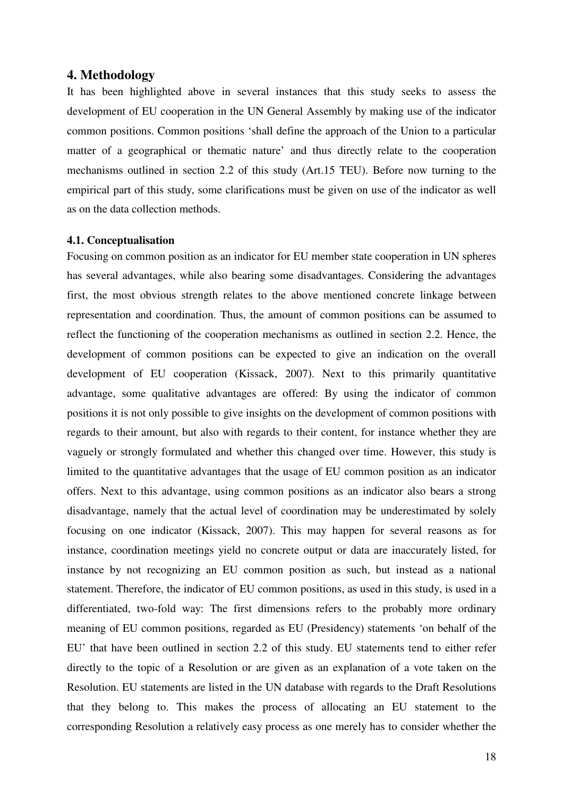#### **4. Methodology**

It has been highlighted above in several instances that this study seeks to assess the development of EU cooperation in the UN General Assembly by making use of the indicator common positions. Common positions 'shall define the approach of the Union to a particular matter of a geographical or thematic nature' and thus directly relate to the cooperation mechanisms outlined in section 2.2 of this study (Art.15 TEU). Before now turning to the empirical part of this study, some clarifications must be given on use of the indicator as well as on the data collection methods.

#### **4.1. Conceptualisation**

Focusing on common position as an indicator for EU member state cooperation in UN spheres has several advantages, while also bearing some disadvantages. Considering the advantages first, the most obvious strength relates to the above mentioned concrete linkage between representation and coordination. Thus, the amount of common positions can be assumed to reflect the functioning of the cooperation mechanisms as outlined in section 2.2. Hence, the development of common positions can be expected to give an indication on the overall development of EU cooperation (Kissack, 2007). Next to this primarily quantitative advantage, some qualitative advantages are offered: By using the indicator of common positions it is not only possible to give insights on the development of common positions with regards to their amount, but also with regards to their content, for instance whether they are vaguely or strongly formulated and whether this changed over time. However, this study is limited to the quantitative advantages that the usage of EU common position as an indicator offers. Next to this advantage, using common positions as an indicator also bears a strong disadvantage, namely that the actual level of coordination may be underestimated by solely focusing on one indicator (Kissack, 2007). This may happen for several reasons as for instance, coordination meetings yield no concrete output or data are inaccurately listed, for instance by not recognizing an EU common position as such, but instead as a national statement. Therefore, the indicator of EU common positions, as used in this study, is used in a differentiated, two-fold way: The first dimensions refers to the probably more ordinary meaning of EU common positions, regarded as EU (Presidency) statements 'on behalf of the EU' that have been outlined in section 2.2 of this study. EU statements tend to either refer directly to the topic of a Resolution or are given as an explanation of a vote taken on the Resolution. EU statements are listed in the UN database with regards to the Draft Resolutions that they belong to. This makes the process of allocating an EU statement to the corresponding Resolution a relatively easy process as one merely has to consider whether the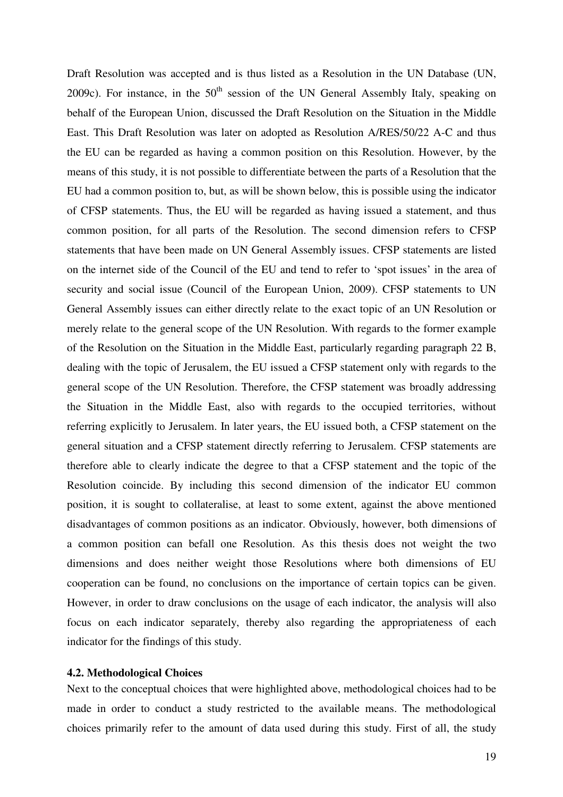Draft Resolution was accepted and is thus listed as a Resolution in the UN Database (UN, 2009c). For instance, in the  $50<sup>th</sup>$  session of the UN General Assembly Italy, speaking on behalf of the European Union, discussed the Draft Resolution on the Situation in the Middle East. This Draft Resolution was later on adopted as Resolution A/RES/50/22 A-C and thus the EU can be regarded as having a common position on this Resolution. However, by the means of this study, it is not possible to differentiate between the parts of a Resolution that the EU had a common position to, but, as will be shown below, this is possible using the indicator of CFSP statements. Thus, the EU will be regarded as having issued a statement, and thus common position, for all parts of the Resolution. The second dimension refers to CFSP statements that have been made on UN General Assembly issues. CFSP statements are listed on the internet side of the Council of the EU and tend to refer to 'spot issues' in the area of security and social issue (Council of the European Union, 2009). CFSP statements to UN General Assembly issues can either directly relate to the exact topic of an UN Resolution or merely relate to the general scope of the UN Resolution. With regards to the former example of the Resolution on the Situation in the Middle East, particularly regarding paragraph 22 B, dealing with the topic of Jerusalem, the EU issued a CFSP statement only with regards to the general scope of the UN Resolution. Therefore, the CFSP statement was broadly addressing the Situation in the Middle East, also with regards to the occupied territories, without referring explicitly to Jerusalem. In later years, the EU issued both, a CFSP statement on the general situation and a CFSP statement directly referring to Jerusalem. CFSP statements are therefore able to clearly indicate the degree to that a CFSP statement and the topic of the Resolution coincide. By including this second dimension of the indicator EU common position, it is sought to collateralise, at least to some extent, against the above mentioned disadvantages of common positions as an indicator. Obviously, however, both dimensions of a common position can befall one Resolution. As this thesis does not weight the two dimensions and does neither weight those Resolutions where both dimensions of EU cooperation can be found, no conclusions on the importance of certain topics can be given. However, in order to draw conclusions on the usage of each indicator, the analysis will also focus on each indicator separately, thereby also regarding the appropriateness of each indicator for the findings of this study.

#### **4.2. Methodological Choices**

Next to the conceptual choices that were highlighted above, methodological choices had to be made in order to conduct a study restricted to the available means. The methodological choices primarily refer to the amount of data used during this study. First of all, the study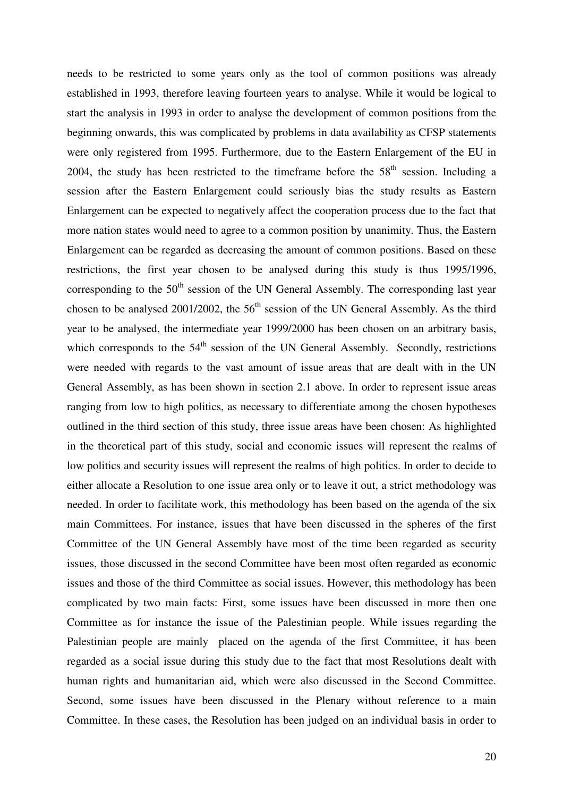needs to be restricted to some years only as the tool of common positions was already established in 1993, therefore leaving fourteen years to analyse. While it would be logical to start the analysis in 1993 in order to analyse the development of common positions from the beginning onwards, this was complicated by problems in data availability as CFSP statements were only registered from 1995. Furthermore, due to the Eastern Enlargement of the EU in 2004, the study has been restricted to the timeframe before the  $58<sup>th</sup>$  session. Including a session after the Eastern Enlargement could seriously bias the study results as Eastern Enlargement can be expected to negatively affect the cooperation process due to the fact that more nation states would need to agree to a common position by unanimity. Thus, the Eastern Enlargement can be regarded as decreasing the amount of common positions. Based on these restrictions, the first year chosen to be analysed during this study is thus 1995/1996, corresponding to the  $50<sup>th</sup>$  session of the UN General Assembly. The corresponding last year chosen to be analysed 2001/2002, the  $56<sup>th</sup>$  session of the UN General Assembly. As the third year to be analysed, the intermediate year 1999/2000 has been chosen on an arbitrary basis, which corresponds to the  $54<sup>th</sup>$  session of the UN General Assembly. Secondly, restrictions were needed with regards to the vast amount of issue areas that are dealt with in the UN General Assembly, as has been shown in section 2.1 above. In order to represent issue areas ranging from low to high politics, as necessary to differentiate among the chosen hypotheses outlined in the third section of this study, three issue areas have been chosen: As highlighted in the theoretical part of this study, social and economic issues will represent the realms of low politics and security issues will represent the realms of high politics. In order to decide to either allocate a Resolution to one issue area only or to leave it out, a strict methodology was needed. In order to facilitate work, this methodology has been based on the agenda of the six main Committees. For instance, issues that have been discussed in the spheres of the first Committee of the UN General Assembly have most of the time been regarded as security issues, those discussed in the second Committee have been most often regarded as economic issues and those of the third Committee as social issues. However, this methodology has been complicated by two main facts: First, some issues have been discussed in more then one Committee as for instance the issue of the Palestinian people. While issues regarding the Palestinian people are mainly placed on the agenda of the first Committee, it has been regarded as a social issue during this study due to the fact that most Resolutions dealt with human rights and humanitarian aid, which were also discussed in the Second Committee. Second, some issues have been discussed in the Plenary without reference to a main Committee. In these cases, the Resolution has been judged on an individual basis in order to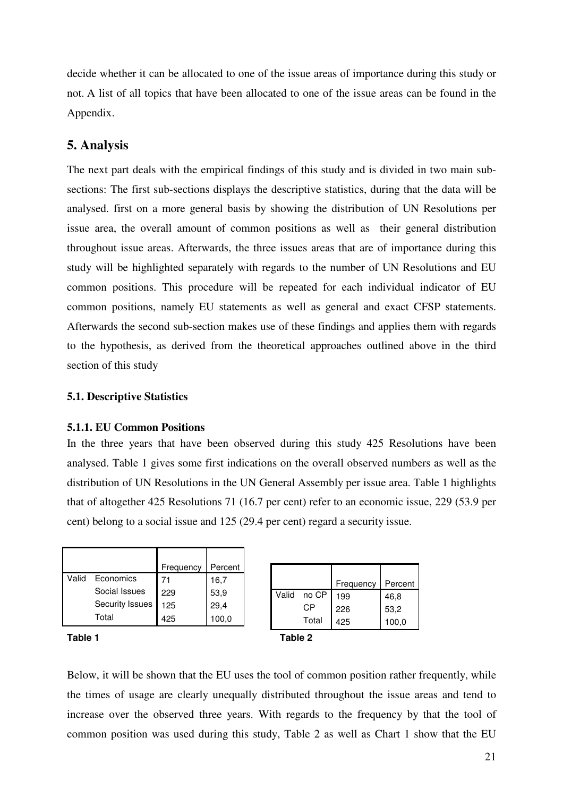decide whether it can be allocated to one of the issue areas of importance during this study or not. A list of all topics that have been allocated to one of the issue areas can be found in the Appendix.

# **5. Analysis**

The next part deals with the empirical findings of this study and is divided in two main subsections: The first sub-sections displays the descriptive statistics, during that the data will be analysed. first on a more general basis by showing the distribution of UN Resolutions per issue area, the overall amount of common positions as well as their general distribution throughout issue areas. Afterwards, the three issues areas that are of importance during this study will be highlighted separately with regards to the number of UN Resolutions and EU common positions. This procedure will be repeated for each individual indicator of EU common positions, namely EU statements as well as general and exact CFSP statements. Afterwards the second sub-section makes use of these findings and applies them with regards to the hypothesis, as derived from the theoretical approaches outlined above in the third section of this study

#### **5.1. Descriptive Statistics**

#### **5.1.1. EU Common Positions**

In the three years that have been observed during this study 425 Resolutions have been analysed. Table 1 gives some first indications on the overall observed numbers as well as the distribution of UN Resolutions in the UN General Assembly per issue area. Table 1 highlights that of altogether 425 Resolutions 71 (16.7 per cent) refer to an economic issue, 229 (53.9 per cent) belong to a social issue and 125 (29.4 per cent) regard a security issue.

|         |                 | Frequency | Percent |         |       |           |         |
|---------|-----------------|-----------|---------|---------|-------|-----------|---------|
| Valid   | Economics       | 71        | 16,7    |         |       | Frequency | Percent |
|         | Social Issues   | 229       | 53,9    | Valid   | no CP | 199       | 46,8    |
|         | Security Issues | 125       | 29,4    |         | СP    | 226       | 53,2    |
|         | Total           | 425       | 100,0   |         | Total | 425       | 100,0   |
| Table 1 |                 |           |         | Table 2 |       |           |         |

Below, it will be shown that the EU uses the tool of common position rather frequently, while the times of usage are clearly unequally distributed throughout the issue areas and tend to increase over the observed three years. With regards to the frequency by that the tool of common position was used during this study, Table 2 as well as Chart 1 show that the EU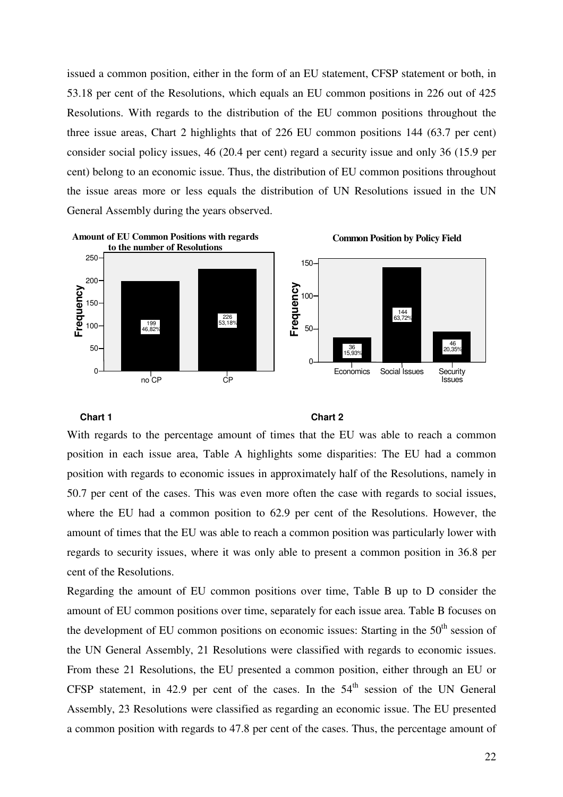issued a common position, either in the form of an EU statement, CFSP statement or both, in 53.18 per cent of the Resolutions, which equals an EU common positions in 226 out of 425 Resolutions. With regards to the distribution of the EU common positions throughout the three issue areas, Chart 2 highlights that of 226 EU common positions 144 (63.7 per cent) consider social policy issues, 46 (20.4 per cent) regard a security issue and only 36 (15.9 per cent) belong to an economic issue. Thus, the distribution of EU common positions throughout the issue areas more or less equals the distribution of UN Resolutions issued in the UN General Assembly during the years observed.



#### **Chart 1** Chart 2

With regards to the percentage amount of times that the EU was able to reach a common position in each issue area, Table A highlights some disparities: The EU had a common position with regards to economic issues in approximately half of the Resolutions, namely in 50.7 per cent of the cases. This was even more often the case with regards to social issues, where the EU had a common position to 62.9 per cent of the Resolutions. However, the amount of times that the EU was able to reach a common position was particularly lower with regards to security issues, where it was only able to present a common position in 36.8 per cent of the Resolutions.

Regarding the amount of EU common positions over time, Table B up to D consider the amount of EU common positions over time, separately for each issue area. Table B focuses on the development of EU common positions on economic issues: Starting in the  $50<sup>th</sup>$  session of the UN General Assembly, 21 Resolutions were classified with regards to economic issues. From these 21 Resolutions, the EU presented a common position, either through an EU or CFSP statement, in 42.9 per cent of the cases. In the  $54<sup>th</sup>$  session of the UN General Assembly, 23 Resolutions were classified as regarding an economic issue. The EU presented a common position with regards to 47.8 per cent of the cases. Thus, the percentage amount of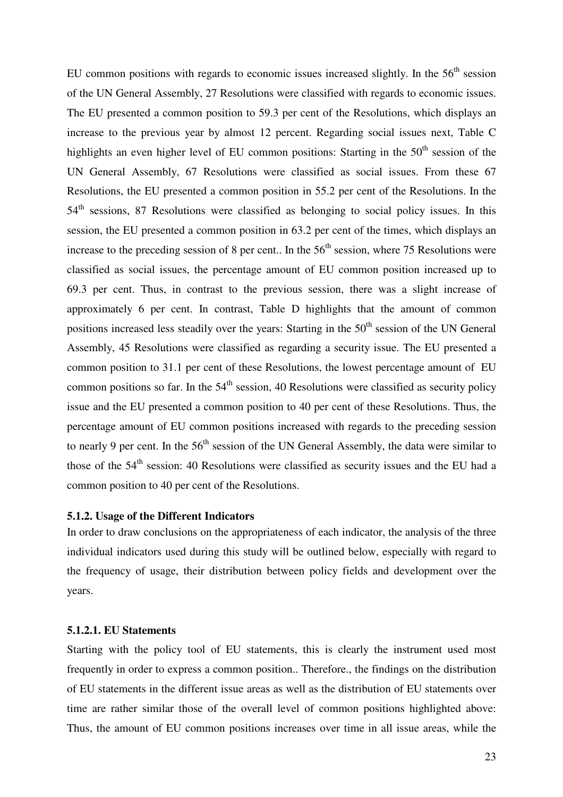EU common positions with regards to economic issues increased slightly. In the 56<sup>th</sup> session of the UN General Assembly, 27 Resolutions were classified with regards to economic issues. The EU presented a common position to 59.3 per cent of the Resolutions, which displays an increase to the previous year by almost 12 percent. Regarding social issues next, Table C highlights an even higher level of EU common positions: Starting in the  $50<sup>th</sup>$  session of the UN General Assembly, 67 Resolutions were classified as social issues. From these 67 Resolutions, the EU presented a common position in 55.2 per cent of the Resolutions. In the  $54<sup>th</sup>$  sessions, 87 Resolutions were classified as belonging to social policy issues. In this session, the EU presented a common position in 63.2 per cent of the times, which displays an increase to the preceding session of 8 per cent.. In the  $56<sup>th</sup>$  session, where 75 Resolutions were classified as social issues, the percentage amount of EU common position increased up to 69.3 per cent. Thus, in contrast to the previous session, there was a slight increase of approximately 6 per cent. In contrast, Table D highlights that the amount of common positions increased less steadily over the years: Starting in the  $50<sup>th</sup>$  session of the UN General Assembly, 45 Resolutions were classified as regarding a security issue. The EU presented a common position to 31.1 per cent of these Resolutions, the lowest percentage amount of EU common positions so far. In the  $54<sup>th</sup>$  session, 40 Resolutions were classified as security policy issue and the EU presented a common position to 40 per cent of these Resolutions. Thus, the percentage amount of EU common positions increased with regards to the preceding session to nearly 9 per cent. In the  $56<sup>th</sup>$  session of the UN General Assembly, the data were similar to those of the  $54<sup>th</sup>$  session: 40 Resolutions were classified as security issues and the EU had a common position to 40 per cent of the Resolutions.

#### **5.1.2. Usage of the Different Indicators**

In order to draw conclusions on the appropriateness of each indicator, the analysis of the three individual indicators used during this study will be outlined below, especially with regard to the frequency of usage, their distribution between policy fields and development over the years.

#### **5.1.2.1. EU Statements**

Starting with the policy tool of EU statements, this is clearly the instrument used most frequently in order to express a common position.. Therefore., the findings on the distribution of EU statements in the different issue areas as well as the distribution of EU statements over time are rather similar those of the overall level of common positions highlighted above: Thus, the amount of EU common positions increases over time in all issue areas, while the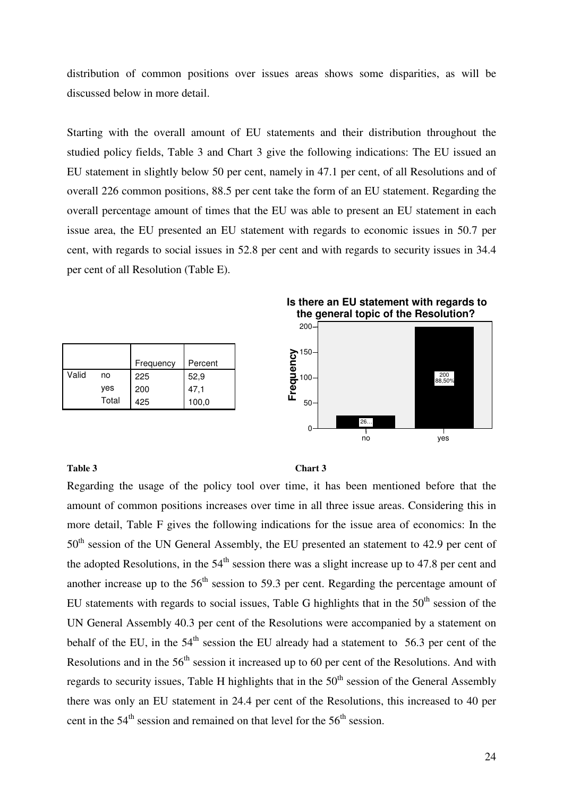distribution of common positions over issues areas shows some disparities, as will be discussed below in more detail.

Starting with the overall amount of EU statements and their distribution throughout the studied policy fields, Table 3 and Chart 3 give the following indications: The EU issued an EU statement in slightly below 50 per cent, namely in 47.1 per cent, of all Resolutions and of overall 226 common positions, 88.5 per cent take the form of an EU statement. Regarding the overall percentage amount of times that the EU was able to present an EU statement in each issue area, the EU presented an EU statement with regards to economic issues in 50.7 per cent, with regards to social issues in 52.8 per cent and with regards to security issues in 34.4 per cent of all Resolution (Table E).

|       |       | Frequency | Percent |
|-------|-------|-----------|---------|
| Valid | no    | 225       | 52,9    |
|       | yes   | 200       | 47,1    |
|       | Total | 425       | 100,0   |

**Is there an EU statement with regards to the general topic of the Resolution?**



#### Table 3 Chart 3

Regarding the usage of the policy tool over time, it has been mentioned before that the amount of common positions increases over time in all three issue areas. Considering this in more detail, Table F gives the following indications for the issue area of economics: In the 50<sup>th</sup> session of the UN General Assembly, the EU presented an statement to 42.9 per cent of the adopted Resolutions, in the  $54<sup>th</sup>$  session there was a slight increase up to 47.8 per cent and another increase up to the  $56<sup>th</sup>$  session to 59.3 per cent. Regarding the percentage amount of EU statements with regards to social issues, Table G highlights that in the  $50<sup>th</sup>$  session of the UN General Assembly 40.3 per cent of the Resolutions were accompanied by a statement on behalf of the EU, in the  $54<sup>th</sup>$  session the EU already had a statement to  $56.3$  per cent of the Resolutions and in the  $56<sup>th</sup>$  session it increased up to 60 per cent of the Resolutions. And with regards to security issues. Table H highlights that in the  $50<sup>th</sup>$  session of the General Assembly there was only an EU statement in 24.4 per cent of the Resolutions, this increased to 40 per cent in the  $54<sup>th</sup>$  session and remained on that level for the  $56<sup>th</sup>$  session.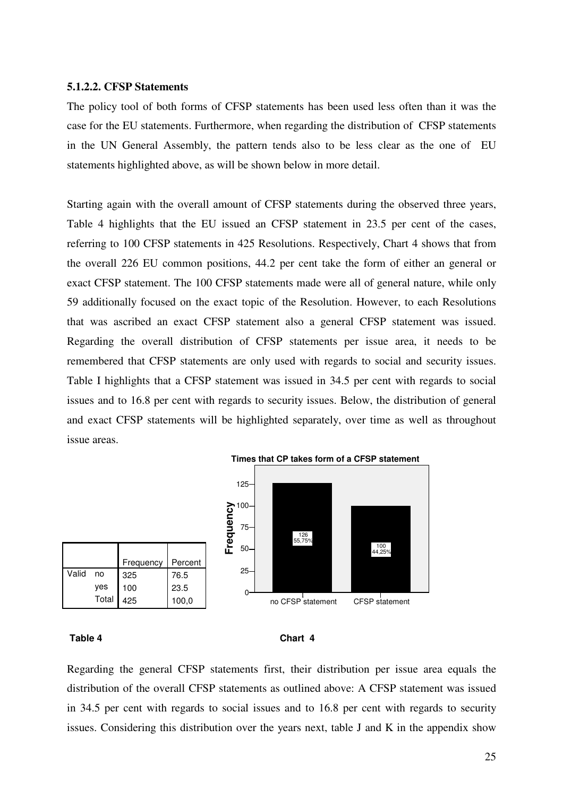#### **5.1.2.2. CFSP Statements**

The policy tool of both forms of CFSP statements has been used less often than it was the case for the EU statements. Furthermore, when regarding the distribution of CFSP statements in the UN General Assembly, the pattern tends also to be less clear as the one of EU statements highlighted above, as will be shown below in more detail.

Starting again with the overall amount of CFSP statements during the observed three years, Table 4 highlights that the EU issued an CFSP statement in 23.5 per cent of the cases, referring to 100 CFSP statements in 425 Resolutions. Respectively, Chart 4 shows that from the overall 226 EU common positions, 44.2 per cent take the form of either an general or exact CFSP statement. The 100 CFSP statements made were all of general nature, while only 59 additionally focused on the exact topic of the Resolution. However, to each Resolutions that was ascribed an exact CFSP statement also a general CFSP statement was issued. Regarding the overall distribution of CFSP statements per issue area, it needs to be remembered that CFSP statements are only used with regards to social and security issues. Table I highlights that a CFSP statement was issued in 34.5 per cent with regards to social issues and to 16.8 per cent with regards to security issues. Below, the distribution of general and exact CFSP statements will be highlighted separately, over time as well as throughout issue areas.





Regarding the general CFSP statements first, their distribution per issue area equals the distribution of the overall CFSP statements as outlined above: A CFSP statement was issued in 34.5 per cent with regards to social issues and to 16.8 per cent with regards to security issues. Considering this distribution over the years next, table J and K in the appendix show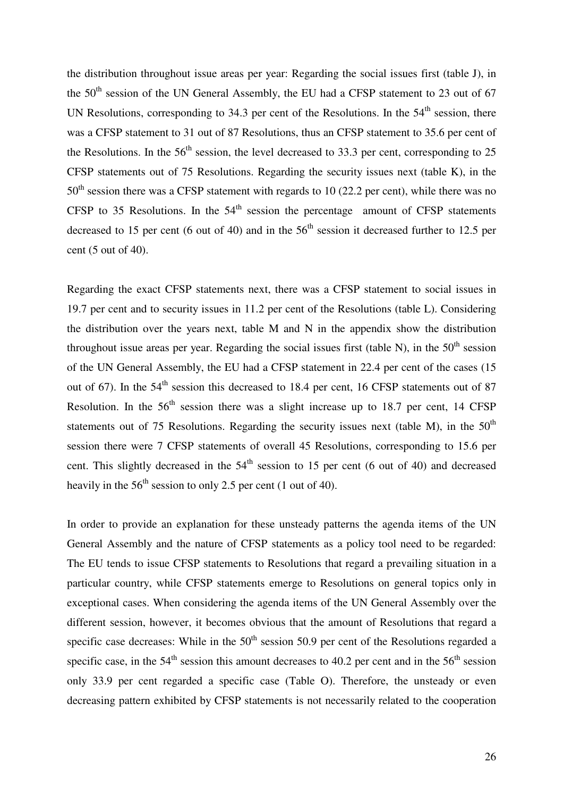the distribution throughout issue areas per year: Regarding the social issues first (table J), in the 50<sup>th</sup> session of the UN General Assembly, the EU had a CFSP statement to 23 out of 67 UN Resolutions, corresponding to 34.3 per cent of the Resolutions. In the  $54<sup>th</sup>$  session, there was a CFSP statement to 31 out of 87 Resolutions, thus an CFSP statement to 35.6 per cent of the Resolutions. In the  $56<sup>th</sup>$  session, the level decreased to 33.3 per cent, corresponding to 25 CFSP statements out of 75 Resolutions. Regarding the security issues next (table K), in the  $50<sup>th</sup>$  session there was a CFSP statement with regards to 10 (22.2 per cent), while there was no CFSP to 35 Resolutions. In the  $54<sup>th</sup>$  session the percentage amount of CFSP statements decreased to 15 per cent (6 out of 40) and in the  $56<sup>th</sup>$  session it decreased further to 12.5 per cent (5 out of 40).

Regarding the exact CFSP statements next, there was a CFSP statement to social issues in 19.7 per cent and to security issues in 11.2 per cent of the Resolutions (table L). Considering the distribution over the years next, table M and N in the appendix show the distribution throughout issue areas per year. Regarding the social issues first (table N), in the  $50<sup>th</sup>$  session of the UN General Assembly, the EU had a CFSP statement in 22.4 per cent of the cases (15 out of 67). In the  $54<sup>th</sup>$  session this decreased to 18.4 per cent, 16 CFSP statements out of 87 Resolution. In the  $56<sup>th</sup>$  session there was a slight increase up to 18.7 per cent, 14 CFSP statements out of 75 Resolutions. Regarding the security issues next (table M), in the  $50<sup>th</sup>$ session there were 7 CFSP statements of overall 45 Resolutions, corresponding to 15.6 per cent. This slightly decreased in the  $54<sup>th</sup>$  session to 15 per cent (6 out of 40) and decreased heavily in the  $56<sup>th</sup>$  session to only 2.5 per cent (1 out of 40).

In order to provide an explanation for these unsteady patterns the agenda items of the UN General Assembly and the nature of CFSP statements as a policy tool need to be regarded: The EU tends to issue CFSP statements to Resolutions that regard a prevailing situation in a particular country, while CFSP statements emerge to Resolutions on general topics only in exceptional cases. When considering the agenda items of the UN General Assembly over the different session, however, it becomes obvious that the amount of Resolutions that regard a specific case decreases: While in the  $50<sup>th</sup>$  session 50.9 per cent of the Resolutions regarded a specific case, in the  $54<sup>th</sup>$  session this amount decreases to 40.2 per cent and in the  $56<sup>th</sup>$  session only 33.9 per cent regarded a specific case (Table O). Therefore, the unsteady or even decreasing pattern exhibited by CFSP statements is not necessarily related to the cooperation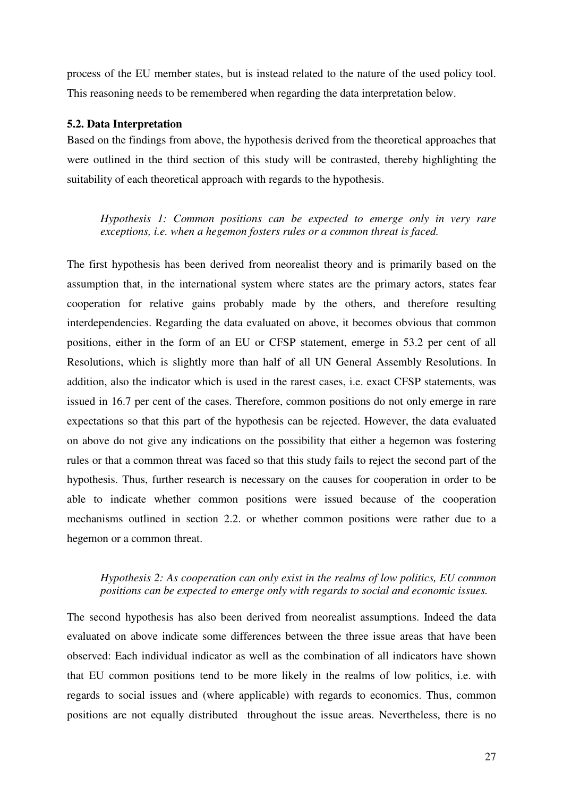process of the EU member states, but is instead related to the nature of the used policy tool. This reasoning needs to be remembered when regarding the data interpretation below.

#### **5.2. Data Interpretation**

Based on the findings from above, the hypothesis derived from the theoretical approaches that were outlined in the third section of this study will be contrasted, thereby highlighting the suitability of each theoretical approach with regards to the hypothesis.

*Hypothesis 1: Common positions can be expected to emerge only in very rare exceptions, i.e. when a hegemon fosters rules or a common threat is faced.* 

The first hypothesis has been derived from neorealist theory and is primarily based on the assumption that, in the international system where states are the primary actors, states fear cooperation for relative gains probably made by the others, and therefore resulting interdependencies. Regarding the data evaluated on above, it becomes obvious that common positions, either in the form of an EU or CFSP statement, emerge in 53.2 per cent of all Resolutions, which is slightly more than half of all UN General Assembly Resolutions. In addition, also the indicator which is used in the rarest cases, i.e. exact CFSP statements, was issued in 16.7 per cent of the cases. Therefore, common positions do not only emerge in rare expectations so that this part of the hypothesis can be rejected. However, the data evaluated on above do not give any indications on the possibility that either a hegemon was fostering rules or that a common threat was faced so that this study fails to reject the second part of the hypothesis. Thus, further research is necessary on the causes for cooperation in order to be able to indicate whether common positions were issued because of the cooperation mechanisms outlined in section 2.2. or whether common positions were rather due to a hegemon or a common threat.

# *Hypothesis 2: As cooperation can only exist in the realms of low politics, EU common positions can be expected to emerge only with regards to social and economic issues.*

The second hypothesis has also been derived from neorealist assumptions. Indeed the data evaluated on above indicate some differences between the three issue areas that have been observed: Each individual indicator as well as the combination of all indicators have shown that EU common positions tend to be more likely in the realms of low politics, i.e. with regards to social issues and (where applicable) with regards to economics. Thus, common positions are not equally distributed throughout the issue areas. Nevertheless, there is no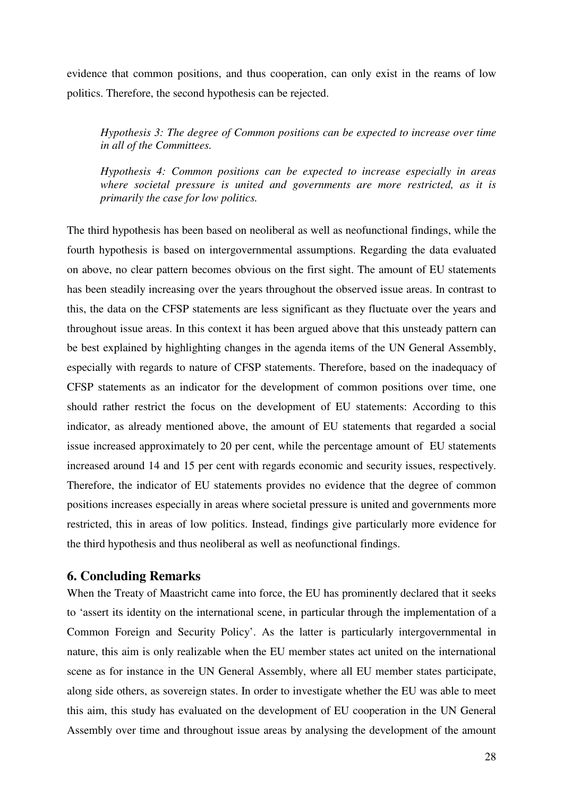evidence that common positions, and thus cooperation, can only exist in the reams of low politics. Therefore, the second hypothesis can be rejected.

*Hypothesis 3: The degree of Common positions can be expected to increase over time in all of the Committees.* 

*Hypothesis 4: Common positions can be expected to increase especially in areas where societal pressure is united and governments are more restricted, as it is primarily the case for low politics.* 

The third hypothesis has been based on neoliberal as well as neofunctional findings, while the fourth hypothesis is based on intergovernmental assumptions. Regarding the data evaluated on above, no clear pattern becomes obvious on the first sight. The amount of EU statements has been steadily increasing over the years throughout the observed issue areas. In contrast to this, the data on the CFSP statements are less significant as they fluctuate over the years and throughout issue areas. In this context it has been argued above that this unsteady pattern can be best explained by highlighting changes in the agenda items of the UN General Assembly, especially with regards to nature of CFSP statements. Therefore, based on the inadequacy of CFSP statements as an indicator for the development of common positions over time, one should rather restrict the focus on the development of EU statements: According to this indicator, as already mentioned above, the amount of EU statements that regarded a social issue increased approximately to 20 per cent, while the percentage amount of EU statements increased around 14 and 15 per cent with regards economic and security issues, respectively. Therefore, the indicator of EU statements provides no evidence that the degree of common positions increases especially in areas where societal pressure is united and governments more restricted, this in areas of low politics. Instead, findings give particularly more evidence for the third hypothesis and thus neoliberal as well as neofunctional findings.

## **6. Concluding Remarks**

When the Treaty of Maastricht came into force, the EU has prominently declared that it seeks to 'assert its identity on the international scene, in particular through the implementation of a Common Foreign and Security Policy'. As the latter is particularly intergovernmental in nature, this aim is only realizable when the EU member states act united on the international scene as for instance in the UN General Assembly, where all EU member states participate, along side others, as sovereign states. In order to investigate whether the EU was able to meet this aim, this study has evaluated on the development of EU cooperation in the UN General Assembly over time and throughout issue areas by analysing the development of the amount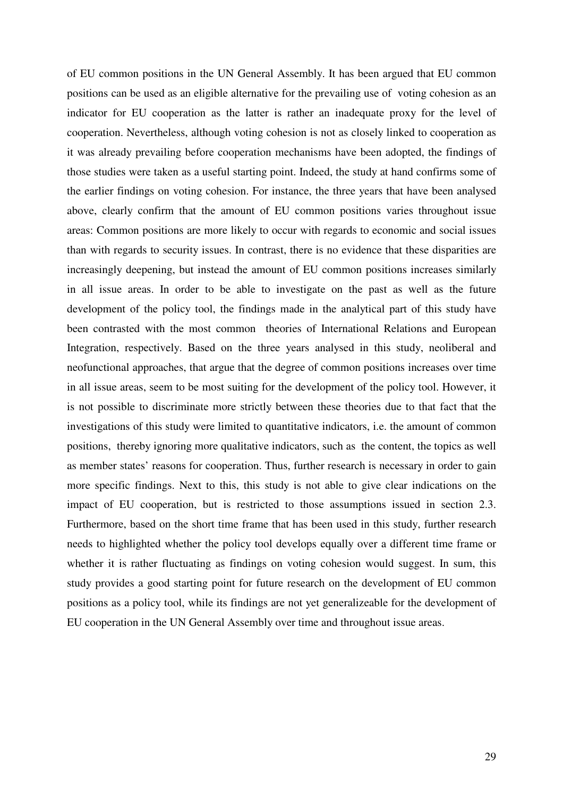of EU common positions in the UN General Assembly. It has been argued that EU common positions can be used as an eligible alternative for the prevailing use of voting cohesion as an indicator for EU cooperation as the latter is rather an inadequate proxy for the level of cooperation. Nevertheless, although voting cohesion is not as closely linked to cooperation as it was already prevailing before cooperation mechanisms have been adopted, the findings of those studies were taken as a useful starting point. Indeed, the study at hand confirms some of the earlier findings on voting cohesion. For instance, the three years that have been analysed above, clearly confirm that the amount of EU common positions varies throughout issue areas: Common positions are more likely to occur with regards to economic and social issues than with regards to security issues. In contrast, there is no evidence that these disparities are increasingly deepening, but instead the amount of EU common positions increases similarly in all issue areas. In order to be able to investigate on the past as well as the future development of the policy tool, the findings made in the analytical part of this study have been contrasted with the most common theories of International Relations and European Integration, respectively. Based on the three years analysed in this study, neoliberal and neofunctional approaches, that argue that the degree of common positions increases over time in all issue areas, seem to be most suiting for the development of the policy tool. However, it is not possible to discriminate more strictly between these theories due to that fact that the investigations of this study were limited to quantitative indicators, i.e. the amount of common positions, thereby ignoring more qualitative indicators, such as the content, the topics as well as member states' reasons for cooperation. Thus, further research is necessary in order to gain more specific findings. Next to this, this study is not able to give clear indications on the impact of EU cooperation, but is restricted to those assumptions issued in section 2.3. Furthermore, based on the short time frame that has been used in this study, further research needs to highlighted whether the policy tool develops equally over a different time frame or whether it is rather fluctuating as findings on voting cohesion would suggest. In sum, this study provides a good starting point for future research on the development of EU common positions as a policy tool, while its findings are not yet generalizeable for the development of EU cooperation in the UN General Assembly over time and throughout issue areas.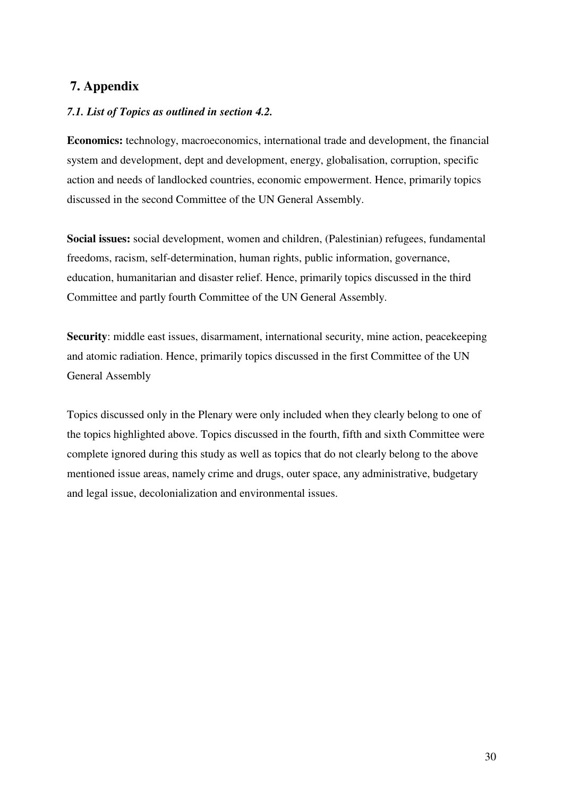# **7. Appendix**

# *7.1. List of Topics as outlined in section 4.2.*

**Economics:** technology, macroeconomics, international trade and development, the financial system and development, dept and development, energy, globalisation, corruption, specific action and needs of landlocked countries, economic empowerment. Hence, primarily topics discussed in the second Committee of the UN General Assembly.

**Social issues:** social development, women and children, (Palestinian) refugees, fundamental freedoms, racism, self-determination, human rights, public information, governance, education, humanitarian and disaster relief. Hence, primarily topics discussed in the third Committee and partly fourth Committee of the UN General Assembly.

**Security**: middle east issues, disarmament, international security, mine action, peacekeeping and atomic radiation. Hence, primarily topics discussed in the first Committee of the UN General Assembly

Topics discussed only in the Plenary were only included when they clearly belong to one of the topics highlighted above. Topics discussed in the fourth, fifth and sixth Committee were complete ignored during this study as well as topics that do not clearly belong to the above mentioned issue areas, namely crime and drugs, outer space, any administrative, budgetary and legal issue, decolonialization and environmental issues.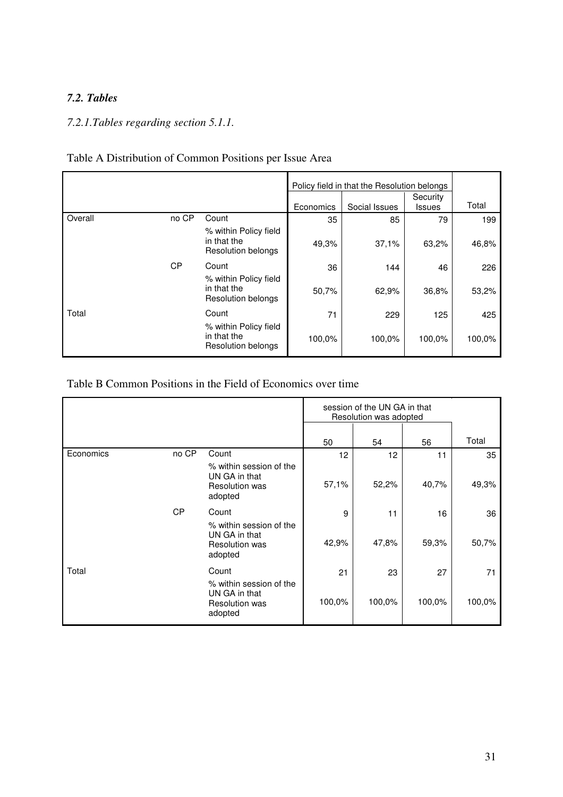# *7.2. Tables*

# *7.2.1.Tables regarding section 5.1.1.*

#### Policy field in that the Resolution belongs Economics | Social Issues **Security** Issues Total no CP Count | 35 | 85 | 79 | 199 % within Policy field in that the Resolution belongs 49,3% 37,1% 63,2% 46,8% Count 144 46 226 **Overall** CP % within Policy field in that the Resolution belongs 50,7% 62,9% 36,8% 53,2% Total Count 71 229 125 425 % within Policy field in that the Resolution belongs 100,0% 100,0% 100,0% 100,0%

#### Table A Distribution of Common Positions per Issue Area

### Table B Common Positions in the Field of Economics over time

|           |           |                                                                              | session of the UN GA in that<br>Resolution was adopted |        |        |        |
|-----------|-----------|------------------------------------------------------------------------------|--------------------------------------------------------|--------|--------|--------|
|           |           |                                                                              | 50                                                     | 54     | 56     | Total  |
| Economics | no CP     | Count                                                                        | 12                                                     | 12     | 11     | 35     |
|           |           | % within session of the<br>UN GA in that<br><b>Resolution was</b><br>adopted | 57,1%                                                  | 52,2%  | 40,7%  | 49,3%  |
|           | <b>CP</b> | Count                                                                        | 9                                                      | 11     | 16     | 36     |
|           |           | % within session of the<br>UN GA in that<br><b>Resolution was</b><br>adopted | 42,9%                                                  | 47,8%  | 59,3%  | 50,7%  |
| Total     |           | Count                                                                        | 21                                                     | 23     | 27     | 71     |
|           |           | % within session of the<br>UN GA in that<br><b>Resolution was</b><br>adopted | 100,0%                                                 | 100,0% | 100,0% | 100,0% |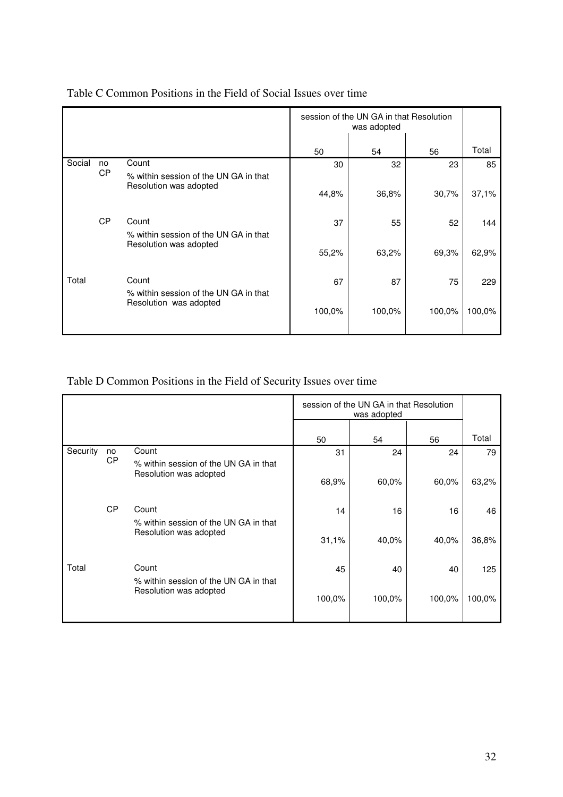|        | session of the UN GA in that Resolution<br>was adopted |                                                                          |       |        |        |        |
|--------|--------------------------------------------------------|--------------------------------------------------------------------------|-------|--------|--------|--------|
|        |                                                        |                                                                          | 50    | 54     | 56     | Total  |
| Social | no<br>CP                                               | Count<br>% within session of the UN GA in that<br>Resolution was adopted | 30    | 32     | 23     | 85     |
|        |                                                        |                                                                          | 44,8% | 36,8%  | 30,7%  | 37,1%  |
|        | <b>CP</b>                                              | Count<br>% within session of the UN GA in that<br>Resolution was adopted | 37    | 55     | 52     | 144    |
|        |                                                        |                                                                          | 55,2% | 63,2%  | 69,3%  | 62,9%  |
| Total  |                                                        | Count<br>% within session of the UN GA in that                           | 67    | 87     | 75     | 229    |
|        |                                                        | Resolution was adopted                                                   |       | 100,0% | 100,0% | 100,0% |

# Table C Common Positions in the Field of Social Issues over time

# Table D Common Positions in the Field of Security Issues over time

|          |           |                                                                 |        | session of the UN GA in that Resolution |        |        |
|----------|-----------|-----------------------------------------------------------------|--------|-----------------------------------------|--------|--------|
|          |           |                                                                 | 50     | 54                                      | 56     | Total  |
| Security | no        | Count<br>% within session of the UN GA in that                  | 31     | 24                                      | 24     | 79     |
|          | СP        | Resolution was adopted                                          | 68,9%  | 60,0%                                   | 60,0%  | 63,2%  |
|          | <b>CP</b> | Count                                                           | 14     | 16                                      | 16     | 46     |
|          |           | % within session of the UN GA in that<br>Resolution was adopted | 31,1%  | 40,0%                                   | 40.0%  | 36,8%  |
| Total    |           | Count<br>% within session of the UN GA in that                  | 45     | 40                                      | 40     | 125    |
|          |           | Resolution was adopted                                          | 100,0% | 100,0%                                  | 100,0% | 100,0% |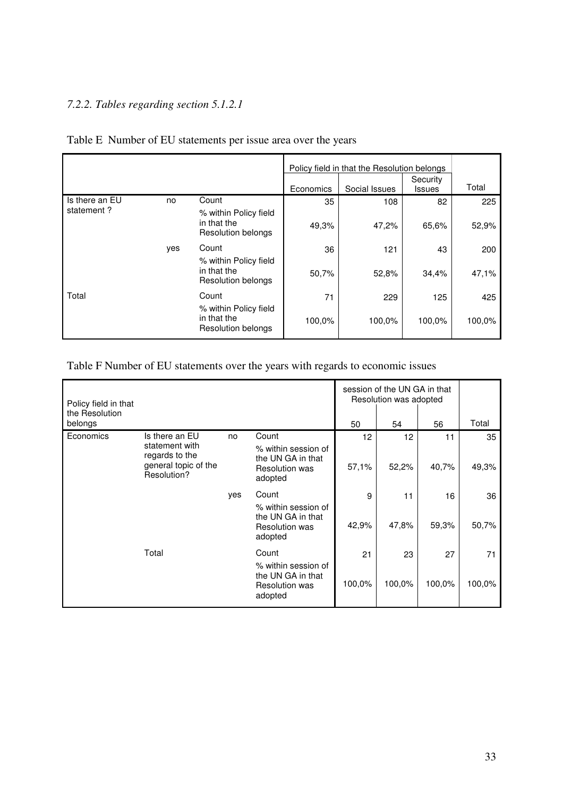# *7.2.2. Tables regarding section 5.1.2.1*

|                | Policy field in that the Resolution belongs |                                                                   |           |               |                           |        |  |
|----------------|---------------------------------------------|-------------------------------------------------------------------|-----------|---------------|---------------------------|--------|--|
|                |                                             |                                                                   | Economics | Social Issues | Security<br><b>Issues</b> | Total  |  |
| Is there an EU | no                                          | Count                                                             | 35        | 108           | 82                        | 225    |  |
| statement?     |                                             | % within Policy field<br>in that the<br><b>Resolution belongs</b> | 49,3%     | 47,2%         | 65,6%                     | 52,9%  |  |
|                | yes                                         | Count                                                             | 36        | 121           | 43                        | 200    |  |
|                |                                             | % within Policy field<br>in that the<br>Resolution belongs        | 50,7%     | 52,8%         | 34,4%                     | 47,1%  |  |
| Total          |                                             | Count                                                             | 71        | 229           | 125                       | 425    |  |
|                |                                             | % within Policy field<br>in that the<br>Resolution belongs        | 100,0%    | 100,0%        | 100,0%                    | 100,0% |  |

# Table E Number of EU statements per issue area over the years

Table F Number of EU statements over the years with regards to economic issues

| Policy field in that      |                                                                         |     |                                                                              | session of the UN GA in that<br>Resolution was adopted |                 |        |        |
|---------------------------|-------------------------------------------------------------------------|-----|------------------------------------------------------------------------------|--------------------------------------------------------|-----------------|--------|--------|
| the Resolution<br>belongs |                                                                         |     |                                                                              | 50                                                     | 54              | 56     | Total  |
| Economics                 | Is there an EU                                                          | no  | Count                                                                        | 12                                                     | 12 <sup>2</sup> | 11     | 35     |
|                           | statement with<br>regards to the<br>general topic of the<br>Resolution? |     | % within session of<br>the UN GA in that<br><b>Resolution was</b><br>adopted | 57,1%                                                  | 52,2%           | 40,7%  | 49,3%  |
|                           |                                                                         | yes | Count                                                                        | 9                                                      | 11              | 16     | 36     |
|                           |                                                                         |     | % within session of<br>the UN GA in that<br><b>Resolution was</b><br>adopted | 42,9%                                                  | 47,8%           | 59,3%  | 50,7%  |
|                           | Total                                                                   |     | Count                                                                        | 21                                                     | 23              | 27     | 71     |
|                           |                                                                         |     | % within session of<br>the UN GA in that<br><b>Resolution was</b><br>adopted | 100,0%                                                 | 100,0%          | 100,0% | 100,0% |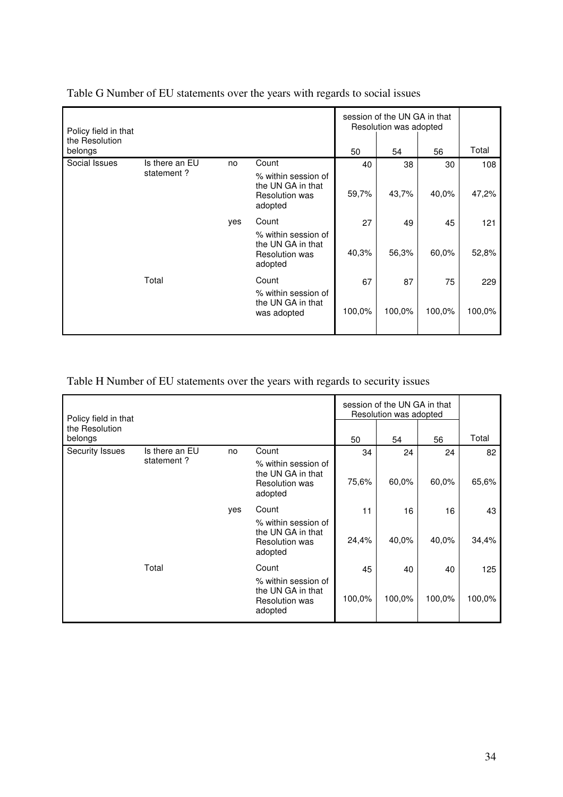| Policy field in that      |                |     |                                                                              |        | session of the UN GA in that<br>Resolution was adopted |        |        |
|---------------------------|----------------|-----|------------------------------------------------------------------------------|--------|--------------------------------------------------------|--------|--------|
| the Resolution<br>belongs |                |     |                                                                              | 50     | 54                                                     | 56     | Total  |
| Social Issues             | Is there an EU | no  | Count                                                                        | 40     | 38                                                     | 30     | 108    |
|                           | statement?     |     | % within session of<br>the UN GA in that<br><b>Resolution was</b><br>adopted | 59,7%  | 43,7%                                                  | 40,0%  | 47,2%  |
|                           |                | yes | Count                                                                        | 27     | 49                                                     | 45     | 121    |
|                           |                |     | % within session of<br>the UN GA in that<br><b>Resolution was</b><br>adopted | 40,3%  | 56,3%                                                  | 60,0%  | 52,8%  |
|                           | Total          |     | Count                                                                        | 67     | 87                                                     | 75     | 229    |
|                           |                |     | % within session of<br>the UN GA in that<br>was adopted                      | 100,0% | 100,0%                                                 | 100,0% | 100,0% |

Table G Number of EU statements over the years with regards to social issues

Table H Number of EU statements over the years with regards to security issues

| Policy field in that<br>the Resolution |                |     |                                                                              |        | session of the UN GA in that<br>Resolution was adopted |        |        |
|----------------------------------------|----------------|-----|------------------------------------------------------------------------------|--------|--------------------------------------------------------|--------|--------|
| belongs                                |                |     |                                                                              | 50     | 54                                                     | 56     | Total  |
| Security Issues                        | Is there an EU | no  | Count                                                                        | 34     | 24                                                     | 24     | 82     |
|                                        | statement?     |     | % within session of<br>the UN GA in that<br><b>Resolution was</b><br>adopted | 75,6%  | 60,0%                                                  | 60,0%  | 65,6%  |
|                                        |                | yes | Count                                                                        | 11     | 16                                                     | 16     | 43     |
|                                        |                |     | % within session of<br>the UN GA in that<br><b>Resolution was</b><br>adopted | 24,4%  | 40,0%                                                  | 40,0%  | 34,4%  |
|                                        | Total          |     | Count                                                                        | 45     | 40                                                     | 40     | 125    |
|                                        |                |     | % within session of<br>the UN GA in that<br><b>Resolution was</b><br>adopted | 100,0% | 100,0%                                                 | 100,0% | 100,0% |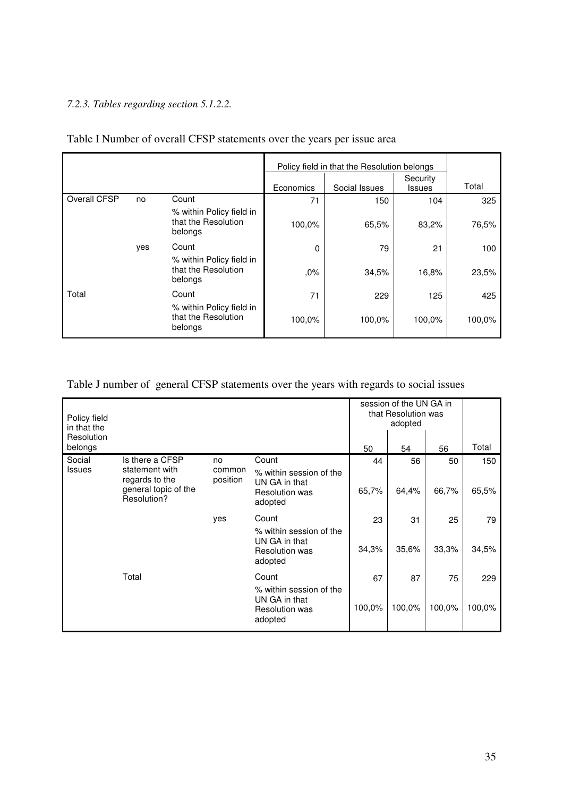# *7.2.3. Tables regarding section 5.1.2.2.*

|              |     |                                                            | Policy field in that the Resolution belongs |               |                           |        |
|--------------|-----|------------------------------------------------------------|---------------------------------------------|---------------|---------------------------|--------|
|              |     |                                                            | Economics                                   | Social Issues | Security<br><b>Issues</b> | Total  |
| Overall CFSP | no  | Count                                                      | 71                                          | 150           | 104                       | 325    |
|              |     | % within Policy field in<br>that the Resolution<br>belongs | 100,0%                                      | 65,5%         | 83,2%                     | 76,5%  |
|              | yes | Count                                                      | $\Omega$                                    | 79            | 21                        | 100    |
|              |     | % within Policy field in<br>that the Resolution<br>belongs | ,0%                                         | 34,5%         | 16,8%                     | 23,5%  |
| Total        |     | Count                                                      | 71                                          | 229           | 125                       | 425    |
|              |     | % within Policy field in<br>that the Resolution<br>belongs | 100,0%                                      | 100,0%        | 100,0%                    | 100,0% |

# Table I Number of overall CFSP statements over the years per issue area

# Table J number of general CFSP statements over the years with regards to social issues

| Policy field<br>in that the<br>Resolution |                                                                         |                    |                                                                              |        | session of the UN GA in<br>that Resolution was<br>adopted |        |        |
|-------------------------------------------|-------------------------------------------------------------------------|--------------------|------------------------------------------------------------------------------|--------|-----------------------------------------------------------|--------|--------|
| belongs                                   |                                                                         |                    |                                                                              | 50     | 54                                                        | 56     | Total  |
| Social                                    | Is there a CFSP                                                         | no                 | Count                                                                        | 44     | 56                                                        | 50     | 150    |
| <b>Issues</b>                             | statement with<br>regards to the<br>general topic of the<br>Resolution? | common<br>position | % within session of the<br>UN GA in that<br><b>Resolution was</b><br>adopted | 65,7%  | 64,4%                                                     | 66,7%  | 65,5%  |
|                                           |                                                                         | yes                | Count                                                                        | 23     | 31                                                        | 25     | 79     |
|                                           |                                                                         |                    | % within session of the<br>UN GA in that<br><b>Resolution was</b><br>adopted | 34,3%  | 35,6%                                                     | 33,3%  | 34,5%  |
|                                           | Total                                                                   |                    | Count                                                                        | 67     | 87                                                        | 75     | 229    |
|                                           |                                                                         |                    | % within session of the<br>UN GA in that<br><b>Resolution was</b><br>adopted | 100,0% | 100,0%                                                    | 100,0% | 100,0% |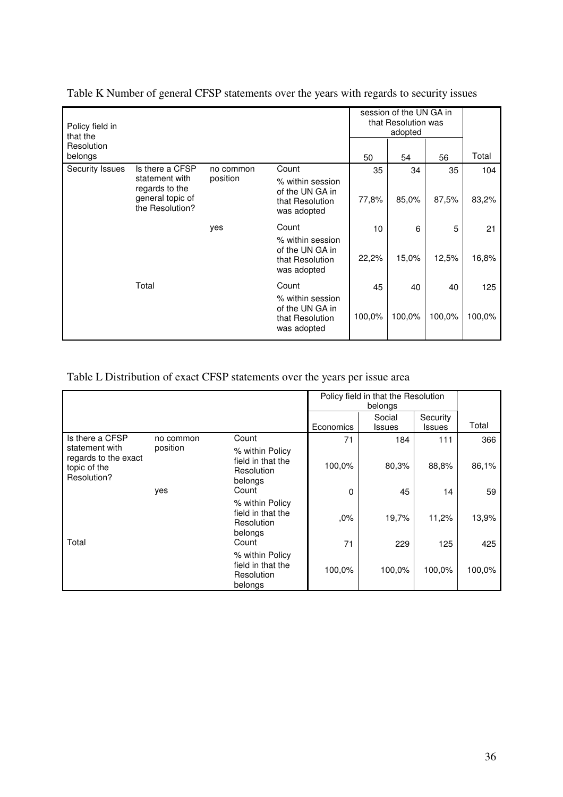| Policy field in<br>that the |                                                       |                                                   |                                                                       | session of the UN GA in<br>that Resolution was<br>adopted |        |        |        |
|-----------------------------|-------------------------------------------------------|---------------------------------------------------|-----------------------------------------------------------------------|-----------------------------------------------------------|--------|--------|--------|
| Resolution<br>belongs       |                                                       |                                                   |                                                                       | 50                                                        | 54     | 56     | Total  |
| <b>Security Issues</b>      | Is there a CFSP<br>statement with                     | no common<br>position                             | Count                                                                 | 35                                                        | 34     | 35     | 104    |
|                             | regards to the<br>general topic of<br>the Resolution? | of the UN GA in<br>that Resolution<br>was adopted | % within session                                                      | 77,8%                                                     | 85,0%  | 87,5%  | 83,2%  |
|                             |                                                       | yes                                               | Count                                                                 | 10                                                        | 6      | 5      | 21     |
|                             |                                                       |                                                   | % within session<br>of the UN GA in<br>that Resolution<br>was adopted | 22,2%                                                     | 15,0%  | 12,5%  | 16,8%  |
|                             | Total                                                 |                                                   | Count                                                                 | 45                                                        | 40     | 40     | 125    |
|                             |                                                       |                                                   | % within session<br>of the UN GA in<br>that Resolution<br>was adopted | 100,0%                                                    | 100,0% | 100,0% | 100,0% |

Table K Number of general CFSP statements over the years with regards to security issues

# Table L Distribution of exact CFSP statements over the years per issue area

|                                                                       |           |                                                               | Policy field in that the Resolution |                         |                           |        |
|-----------------------------------------------------------------------|-----------|---------------------------------------------------------------|-------------------------------------|-------------------------|---------------------------|--------|
|                                                                       |           |                                                               | Economics                           | Social<br><b>Issues</b> | Security<br><b>Issues</b> | Total  |
| Is there a CFSP                                                       | no common | Count                                                         | 71                                  | 184                     | 111                       | 366    |
| statement with<br>regards to the exact<br>topic of the<br>Resolution? | position  | % within Policy<br>field in that the<br>Resolution<br>belongs | 100,0%                              | 80,3%                   | 88,8%                     | 86,1%  |
|                                                                       | yes       | Count                                                         | $\Omega$                            | 45                      | 14                        | 59     |
|                                                                       |           | % within Policy<br>field in that the<br>Resolution<br>belongs | ,0%                                 | 19,7%                   | 11,2%                     | 13,9%  |
| Total                                                                 |           | Count                                                         | 71                                  | 229                     | 125                       | 425    |
|                                                                       |           | % within Policy<br>field in that the<br>Resolution<br>belongs | 100,0%                              | 100,0%                  | 100,0%                    | 100,0% |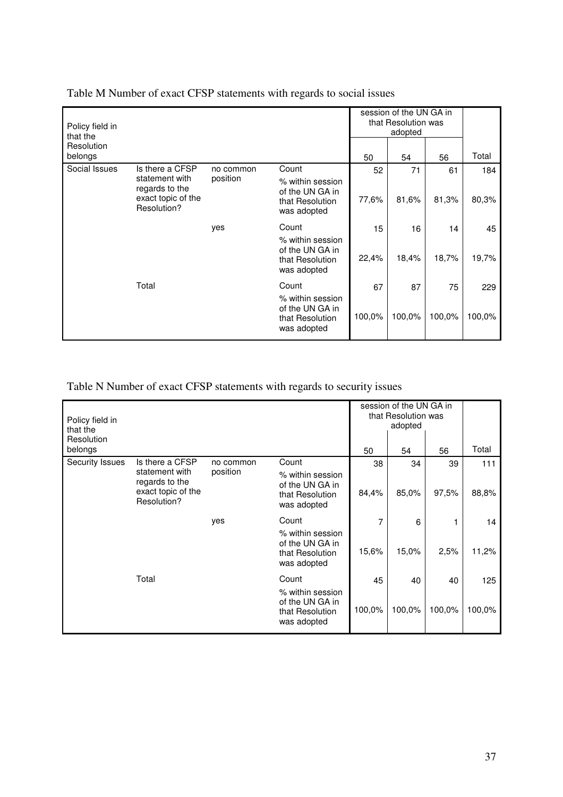| Policy field in<br>that the                                                              |                       |                                                                       |        |        |         |                                                |
|------------------------------------------------------------------------------------------|-----------------------|-----------------------------------------------------------------------|--------|--------|---------|------------------------------------------------|
|                                                                                          |                       |                                                                       | 50     | 54     | 56      | Total                                          |
| Is there a CFSP<br>statement with<br>regards to the<br>exact topic of the<br>Resolution? | no common<br>position | Count                                                                 | 52     | 71     | 61      | 184                                            |
|                                                                                          |                       | % within session<br>of the UN GA in<br>that Resolution<br>was adopted | 77,6%  | 81,6%  | 81,3%   | 80,3%                                          |
|                                                                                          | yes                   | Count                                                                 | 15     | 16     | 14      | 45                                             |
|                                                                                          |                       | % within session<br>of the UN GA in<br>that Resolution<br>was adopted | 22,4%  | 18,4%  | 18,7%   | 19,7%                                          |
| Total                                                                                    |                       | Count                                                                 | 67     | 87     | 75      | 229                                            |
|                                                                                          |                       | % within session<br>of the UN GA in<br>that Resolution<br>was adopted | 100,0% | 100,0% | 100,0%  | 100,0%                                         |
|                                                                                          |                       |                                                                       |        |        | adopted | session of the UN GA in<br>that Resolution was |

Table M Number of exact CFSP statements with regards to social issues

Table N Number of exact CFSP statements with regards to security issues

| Policy field in<br>that the<br>Resolution |                                                     |                       |                                                                       |        | session of the UN GA in<br>that Resolution was<br>adopted |        |        |
|-------------------------------------------|-----------------------------------------------------|-----------------------|-----------------------------------------------------------------------|--------|-----------------------------------------------------------|--------|--------|
| belongs                                   |                                                     |                       |                                                                       | 50     | 54                                                        | 56     | Total  |
| Security Issues                           | Is there a CFSP<br>statement with                   | no common<br>position | Count<br>% within session                                             | 38     | 34                                                        | 39     | 111    |
|                                           | regards to the<br>exact topic of the<br>Resolution? |                       | of the UN GA in<br>that Resolution<br>was adopted                     | 84,4%  | 85,0%                                                     | 97,5%  | 88,8%  |
|                                           |                                                     | yes                   | Count                                                                 | 7      | 6                                                         |        | 14     |
|                                           |                                                     |                       | % within session<br>of the UN GA in<br>that Resolution<br>was adopted | 15,6%  | 15,0%                                                     | 2,5%   | 11,2%  |
|                                           | Total                                               |                       | Count                                                                 | 45     | 40                                                        | 40     | 125    |
|                                           |                                                     |                       | % within session<br>of the UN GA in<br>that Resolution<br>was adopted | 100,0% | 100,0%                                                    | 100,0% | 100,0% |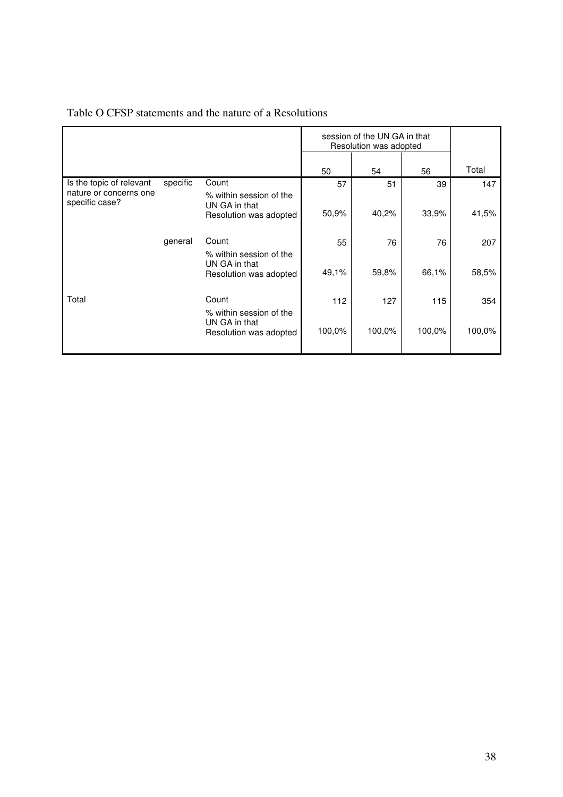|                                                                      |          |                                                   | session of the UN GA in that<br>Resolution was adopted |        |        |        |
|----------------------------------------------------------------------|----------|---------------------------------------------------|--------------------------------------------------------|--------|--------|--------|
|                                                                      |          |                                                   | 50                                                     | 54     | 56     | Total  |
| Is the topic of relevant<br>nature or concerns one<br>specific case? | specific | Count<br>% within session of the<br>UN GA in that | 57                                                     | 51     | 39     | 147    |
|                                                                      |          | Resolution was adopted                            | 50,9%                                                  | 40,2%  | 33,9%  | 41,5%  |
|                                                                      | general  | Count<br>% within session of the<br>UN GA in that | 55                                                     | 76     | 76     | 207    |
|                                                                      |          | Resolution was adopted                            | 49,1%                                                  | 59,8%  | 66,1%  | 58,5%  |
| Total                                                                |          | Count<br>% within session of the                  | 112                                                    | 127    | 115    | 354    |
|                                                                      |          | UN GA in that<br>Resolution was adopted           | 100,0%                                                 | 100,0% | 100,0% | 100,0% |

# Table O CFSP statements and the nature of a Resolutions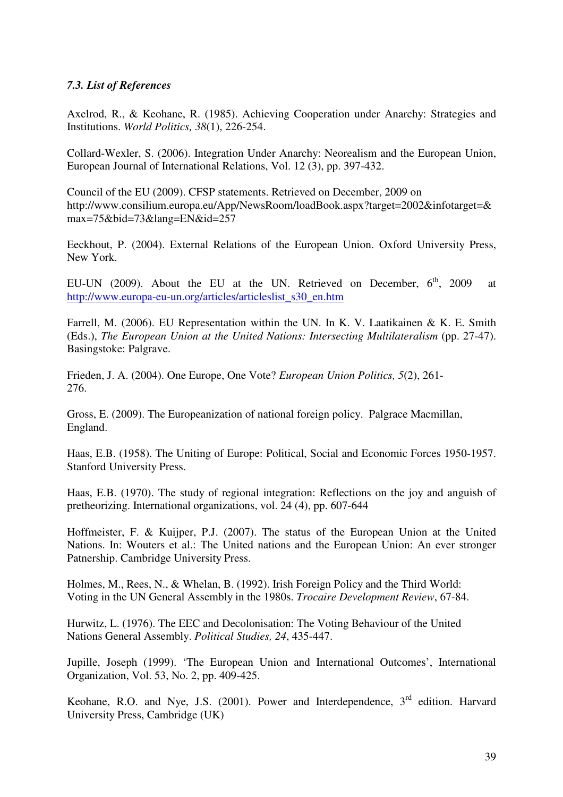# *7.3. List of References*

Axelrod, R., & Keohane, R. (1985). Achieving Cooperation under Anarchy: Strategies and Institutions. *World Politics, 38*(1), 226-254.

Collard-Wexler, S. (2006). Integration Under Anarchy: Neorealism and the European Union, European Journal of International Relations, Vol. 12 (3), pp. 397-432.

Council of the EU (2009). CFSP statements. Retrieved on December, 2009 on http://www.consilium.europa.eu/App/NewsRoom/loadBook.aspx?target=2002&infotarget=& max=75&bid=73&lang=EN&id=257

Eeckhout, P. (2004). External Relations of the European Union. Oxford University Press, New York.

EU-UN (2009). About the EU at the UN. Retrieved on December,  $6<sup>th</sup>$ , 2009 at http://www.europa-eu-un.org/articles/articleslist\_s30\_en.htm

Farrell, M. (2006). EU Representation within the UN. In K. V. Laatikainen & K. E. Smith (Eds.), *The European Union at the United Nations: Intersecting Multilateralism* (pp. 27-47). Basingstoke: Palgrave.

Frieden, J. A. (2004). One Europe, One Vote? *European Union Politics, 5*(2), 261- 276.

Gross, E. (2009). The Europeanization of national foreign policy. Palgrace Macmillan, England.

Haas, E.B. (1958). The Uniting of Europe: Political, Social and Economic Forces 1950-1957. Stanford University Press.

Haas, E.B. (1970). The study of regional integration: Reflections on the joy and anguish of pretheorizing. International organizations, vol. 24 (4), pp. 607-644

Hoffmeister, F. & Kuijper, P.J. (2007). The status of the European Union at the United Nations. In: Wouters et al.: The United nations and the European Union: An ever stronger Patnership. Cambridge University Press.

Holmes, M., Rees, N., & Whelan, B. (1992). Irish Foreign Policy and the Third World: Voting in the UN General Assembly in the 1980s. *Trocaire Development Review*, 67-84.

Hurwitz, L. (1976). The EEC and Decolonisation: The Voting Behaviour of the United Nations General Assembly. *Political Studies, 24*, 435-447.

Jupille, Joseph (1999). 'The European Union and International Outcomes', International Organization, Vol. 53, No. 2, pp. 409-425.

Keohane, R.O. and Nye, J.S. (2001). Power and Interdependence, 3<sup>rd</sup> edition. Harvard University Press, Cambridge (UK)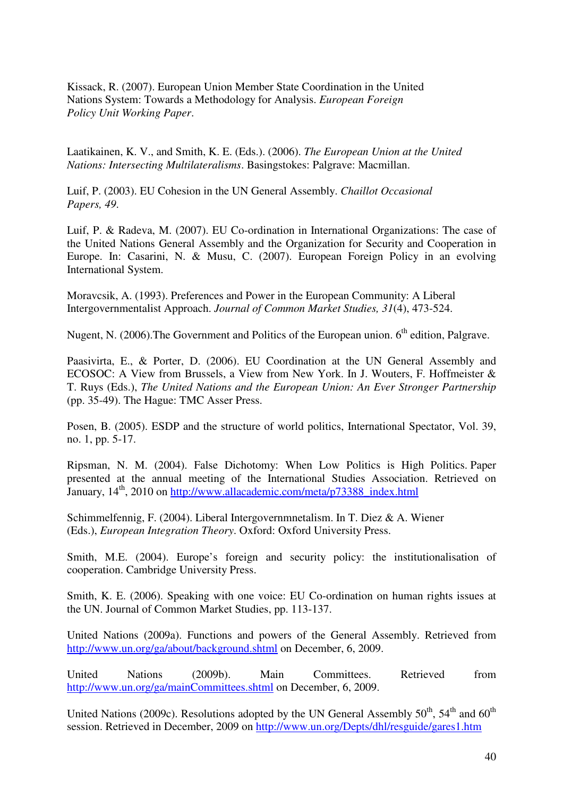Kissack, R. (2007). European Union Member State Coordination in the United Nations System: Towards a Methodology for Analysis. *European Foreign Policy Unit Working Paper*.

Laatikainen, K. V., and Smith, K. E. (Eds.). (2006). *The European Union at the United Nations: Intersecting Multilateralisms*. Basingstokes: Palgrave: Macmillan.

Luif, P. (2003). EU Cohesion in the UN General Assembly. *Chaillot Occasional Papers, 49*.

Luif, P. & Radeva, M. (2007). EU Co-ordination in International Organizations: The case of the United Nations General Assembly and the Organization for Security and Cooperation in Europe. In: Casarini, N. & Musu, C. (2007). European Foreign Policy in an evolving International System.

Moravcsik, A. (1993). Preferences and Power in the European Community: A Liberal Intergovernmentalist Approach. *Journal of Common Market Studies, 31*(4), 473-524.

Nugent, N. (2006). The Government and Politics of the European union. 6<sup>th</sup> edition, Palgrave.

Paasivirta, E., & Porter, D. (2006). EU Coordination at the UN General Assembly and ECOSOC: A View from Brussels, a View from New York. In J. Wouters, F. Hoffmeister & T. Ruys (Eds.), *The United Nations and the European Union: An Ever Stronger Partnership*  (pp. 35-49). The Hague: TMC Asser Press.

Posen, B. (2005). ESDP and the structure of world politics, International Spectator, Vol. 39, no. 1, pp. 5-17.

Ripsman, N. M. (2004). False Dichotomy: When Low Politics is High Politics. Paper presented at the annual meeting of the International Studies Association. Retrieved on January, 14<sup>th</sup>, 2010 on http://www.allacademic.com/meta/p73388\_index.html

Schimmelfennig, F. (2004). Liberal Intergovernmnetalism. In T. Diez & A. Wiener (Eds.), *European Integration Theory*. Oxford: Oxford University Press.

Smith, M.E. (2004). Europe's foreign and security policy: the institutionalisation of cooperation. Cambridge University Press.

Smith, K. E. (2006). Speaking with one voice: EU Co-ordination on human rights issues at the UN. Journal of Common Market Studies, pp. 113-137.

United Nations (2009a). Functions and powers of the General Assembly. Retrieved from http://www.un.org/ga/about/background.shtml on December, 6, 2009.

United Nations (2009b). Main Committees. Retrieved from http://www.un.org/ga/mainCommittees.shtml on December, 6, 2009.

United Nations (2009c). Resolutions adopted by the UN General Assembly  $50^{th}$ ,  $54^{th}$  and  $60^{th}$ session. Retrieved in December, 2009 on http://www.un.org/Depts/dhl/resguide/gares1.htm